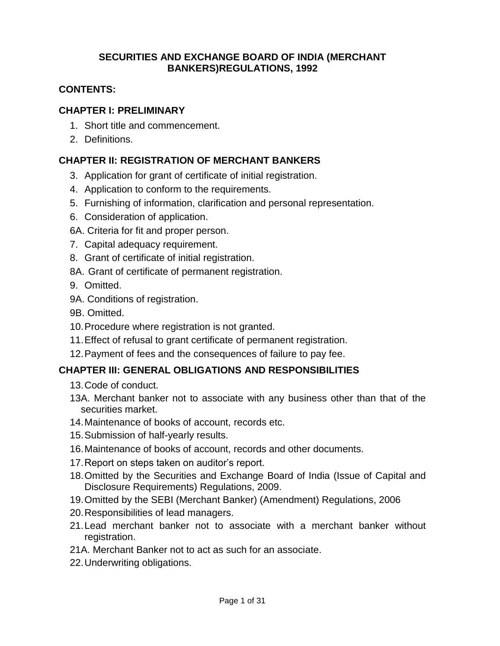## **SECURITIES AND EXCHANGE BOARD OF INDIA (MERCHANT BANKERS)REGULATIONS, 1992**

## **CONTENTS:**

### **CHAPTER I: PRELIMINARY**

- 1. Short title and commencement.
- 2. Definitions.

## **CHAPTER II: REGISTRATION OF MERCHANT BANKERS**

- 3. Application for grant of certificate of initial registration.
- 4. Application to conform to the requirements.
- 5. Furnishing of information, clarification and personal representation.
- 6. Consideration of application.
- 6A. Criteria for fit and proper person.
- 7. Capital adequacy requirement.
- 8. Grant of certificate of initial registration.
- 8A. Grant of certificate of permanent registration.
- 9. Omitted.
- 9A. Conditions of registration.
- 9B. Omitted.
- 10.Procedure where registration is not granted.
- 11.Effect of refusal to grant certificate of permanent registration.
- 12.Payment of fees and the consequences of failure to pay fee.

## **CHAPTER III: GENERAL OBLIGATIONS AND RESPONSIBILITIES**

- 13.Code of conduct.
- 13A. Merchant banker not to associate with any business other than that of the securities market.
- 14.Maintenance of books of account, records etc.
- 15.Submission of half-yearly results.
- 16.Maintenance of books of account, records and other documents.
- 17.Report on steps taken on auditor's report.
- 18.Omitted by the Securities and Exchange Board of India (Issue of Capital and Disclosure Requirements) Regulations, 2009.
- 19.Omitted by the SEBI (Merchant Banker) (Amendment) Regulations, 2006
- 20.Responsibilities of lead managers.
- 21.Lead merchant banker not to associate with a merchant banker without registration.
- 21A. Merchant Banker not to act as such for an associate.
- 22.Underwriting obligations.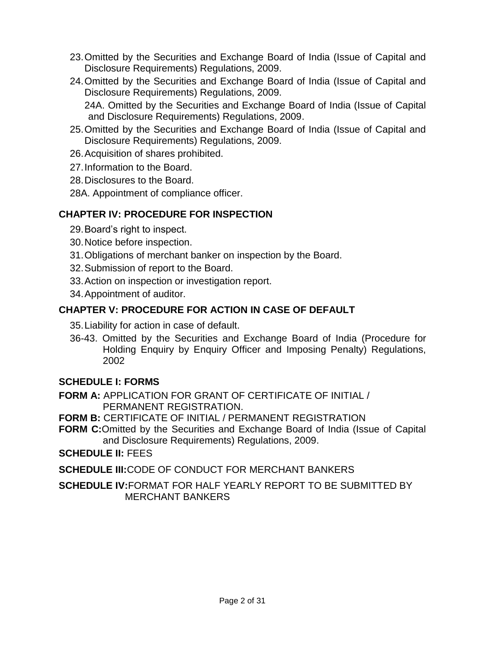- 23.Omitted by the Securities and Exchange Board of India (Issue of Capital and Disclosure Requirements) Regulations, 2009.
- 24.Omitted by the Securities and Exchange Board of India (Issue of Capital and Disclosure Requirements) Regulations, 2009.

24A. Omitted by the Securities and Exchange Board of India (Issue of Capital and Disclosure Requirements) Regulations, 2009.

- 25.Omitted by the Securities and Exchange Board of India (Issue of Capital and Disclosure Requirements) Regulations, 2009.
- 26.Acquisition of shares prohibited.
- 27.Information to the Board.
- 28.Disclosures to the Board.
- 28A. Appointment of compliance officer.

# **CHAPTER IV: PROCEDURE FOR INSPECTION**

- 29.Board's right to inspect.
- 30.Notice before inspection.
- 31.Obligations of merchant banker on inspection by the Board.
- 32.Submission of report to the Board.
- 33.Action on inspection or investigation report.
- 34.Appointment of auditor.

# **CHAPTER V: PROCEDURE FOR ACTION IN CASE OF DEFAULT**

35.Liability for action in case of default.

36-43. Omitted by the Securities and Exchange Board of India (Procedure for Holding Enquiry by Enquiry Officer and Imposing Penalty) Regulations, 2002

## **SCHEDULE I: FORMS**

- **FORM A:** APPLICATION FOR GRANT OF CERTIFICATE OF INITIAL / PERMANENT REGISTRATION.
- **FORM B:** CERTIFICATE OF INITIAL / PERMANENT REGISTRATION
- **FORM C:**Omitted by the Securities and Exchange Board of India (Issue of Capital and Disclosure Requirements) Regulations, 2009.

**SCHEDULE II:** FEES

**SCHEDULE III:**CODE OF CONDUCT FOR MERCHANT BANKERS

**SCHEDULE IV:**FORMAT FOR HALF YEARLY REPORT TO BE SUBMITTED BY MERCHANT BANKERS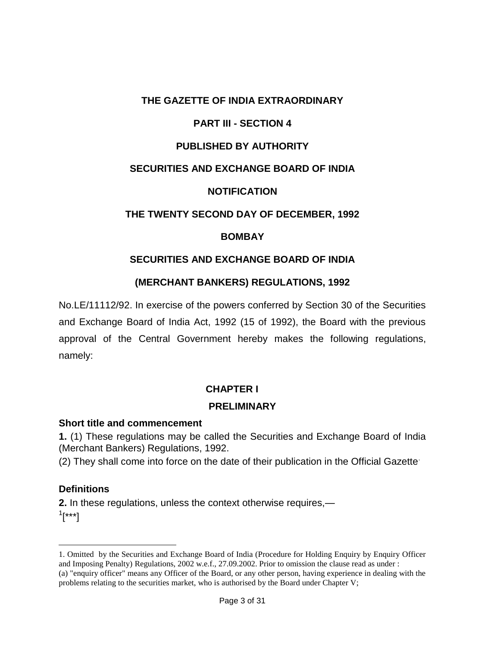### **THE GAZETTE OF INDIA EXTRAORDINARY**

## **PART III - SECTION 4**

## **PUBLISHED BY AUTHORITY**

### **SECURITIES AND EXCHANGE BOARD OF INDIA**

#### **NOTIFICATION**

### **THE TWENTY SECOND DAY OF DECEMBER, 1992**

#### **BOMBAY**

#### **SECURITIES AND EXCHANGE BOARD OF INDIA**

#### **(MERCHANT BANKERS) REGULATIONS, 1992**

No.LE/11112/92. In exercise of the powers conferred by Section 30 of the Securities and Exchange Board of India Act, 1992 (15 of 1992), the Board with the previous approval of the Central Government hereby makes the following regulations, namely:

#### **CHAPTER I**

#### **PRELIMINARY**

#### **Short title and commencement**

**1.** (1) These regulations may be called the Securities and Exchange Board of India (Merchant Bankers) Regulations, 1992.

(2) They shall come into force on the date of their publication in the Official Gazette.

#### **Definitions**

 $\overline{a}$ 

**2.** In these regulations, unless the context otherwise requires,—  $^{1}[$ \*\*\*]

<sup>1.</sup> Omitted by the Securities and Exchange Board of India (Procedure for Holding Enquiry by Enquiry Officer and Imposing Penalty) Regulations, 2002 w.e.f., 27.09.2002. Prior to omission the clause read as under : (a) "enquiry officer" means any Officer of the Board, or any other person, having experience in dealing with the problems relating to the securities market, who is authorised by the Board under Chapter V;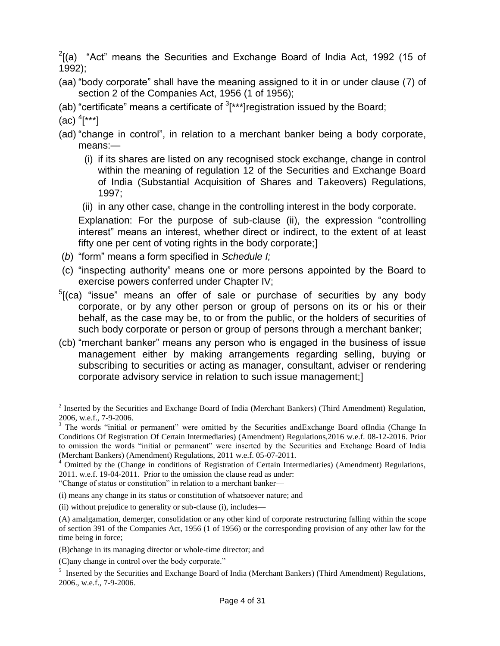$2$ [(a) "Act" means the Securities and Exchange Board of India Act, 1992 (15 of 1992);

- (aa) "body corporate" shall have the meaning assigned to it in or under clause (7) of section 2 of the Companies Act, 1956 (1 of 1956);
- (ab) "certificate" means a certificate of  $3$ <sup>\*\*\*\*</sup>] registration issued by the Board;
- (ac) 4 [\*\*\*]

 $\overline{a}$ 

- (ad) "change in control", in relation to a merchant banker being a body corporate, means:—
	- (i) if its shares are listed on any recognised stock exchange, change in control within the meaning of regulation 12 of the Securities and Exchange Board of India (Substantial Acquisition of Shares and Takeovers) Regulations, 1997;
	- (ii) in any other case, change in the controlling interest in the body corporate.

Explanation: For the purpose of sub-clause (ii), the expression "controlling interest" means an interest, whether direct or indirect, to the extent of at least fifty one per cent of voting rights in the body corporate;]

- (*b*) ―form‖ means a form specified in *Schedule I;*
- (c) "inspecting authority" means one or more persons appointed by the Board to exercise powers conferred under Chapter IV;
- $5$ [(ca) "issue" means an offer of sale or purchase of securities by any body corporate, or by any other person or group of persons on its or his or their behalf, as the case may be, to or from the public, or the holders of securities of such body corporate or person or group of persons through a merchant banker;
- (cb) "merchant banker" means any person who is engaged in the business of issue management either by making arrangements regarding selling, buying or subscribing to securities or acting as manager, consultant, adviser or rendering corporate advisory service in relation to such issue management;]

<sup>&</sup>lt;sup>2</sup> Inserted by the Securities and Exchange Board of India (Merchant Bankers) (Third Amendment) Regulation, 2006, w.e.f., 7-9-2006.

<sup>&</sup>lt;sup>3</sup> The words "initial or permanent" were omitted by the Securities andExchange Board ofIndia (Change In Conditions Of Registration Of Certain Intermediaries) (Amendment) Regulations,2016 w.e.f. 08-12-2016. Prior to omission the words "initial or permanent" were inserted by the Securities and Exchange Board of India (Merchant Bankers) (Amendment) Regulations, 2011 w.e.f. 05-07-2011.

<sup>&</sup>lt;sup>4</sup> Omitted by the (Change in conditions of Registration of Certain Intermediaries) (Amendment) Regulations, 2011. w.e.f. 19-04-2011. Prior to the omission the clause read as under:

<sup>&</sup>quot;Change of status or constitution" in relation to a merchant banker—

<sup>(</sup>i) means any change in its status or constitution of whatsoever nature; and

<sup>(</sup>ii) without prejudice to generality or sub-clause (i), includes—

<sup>(</sup>A) amalgamation, demerger, consolidation or any other kind of corporate restructuring falling within the scope of section 391 of the Companies Act, 1956 (1 of 1956) or the corresponding provision of any other law for the time being in force;

<sup>(</sup>B)change in its managing director or whole-time director; and

<sup>(</sup>C)any change in control over the body corporate."

<sup>&</sup>lt;sup>5</sup> Inserted by the Securities and Exchange Board of India (Merchant Bankers) (Third Amendment) Regulations, 2006., w.e.f., 7-9-2006.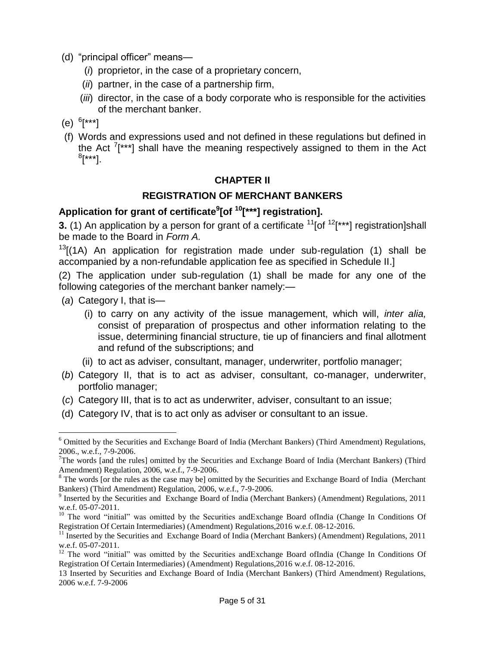- (d) "principal officer" means-
	- (*i*) proprietor, in the case of a proprietary concern,
	- (*ii*) partner, in the case of a partnership firm,
	- (*iii*) director, in the case of a body corporate who is responsible for the activities of the merchant banker.
- (e) 6 [\*\*\*]
- (f) Words and expressions used and not defined in these regulations but defined in the Act  $7$ [\*\*\*] shall have the meaning respectively assigned to them in the Act  $^8$ [\*\*\*].

### **CHAPTER II**

### **REGISTRATION OF MERCHANT BANKERS**

## **Application for grant of certificate<sup>9</sup> [of <sup>10</sup>[\*\*\*] registration].**

**3.** (1) An application by a person for grant of a certificate <sup>11</sup>[of <sup>12</sup>[\*\*\*] registration]shall be made to the Board in *Form A.*

 $13$ [(1A) An application for registration made under sub-regulation (1) shall be accompanied by a non-refundable application fee as specified in Schedule II.]

(2) The application under sub-regulation (1) shall be made for any one of the following categories of the merchant banker namely:—

(*a*) Category I, that is—

 $\overline{a}$ 

- (i) to carry on any activity of the issue management, which will, *inter alia,* consist of preparation of prospectus and other information relating to the issue, determining financial structure, tie up of financiers and final allotment and refund of the subscriptions; and
- (ii) to act as adviser, consultant, manager, underwriter, portfolio manager;
- (*b*) Category II, that is to act as adviser, consultant, co-manager, underwriter, portfolio manager;
- (*c*) Category III, that is to act as underwriter, adviser, consultant to an issue;
- (d) Category IV, that is to act only as adviser or consultant to an issue.

13 Inserted by Securities and Exchange Board of India (Merchant Bankers) (Third Amendment) Regulations, 2006 w.e.f. 7-9-2006

<sup>6</sup> Omitted by the Securities and Exchange Board of India (Merchant Bankers) (Third Amendment) Regulations, 2006., w.e.f., 7-9-2006.

<sup>&</sup>lt;sup>7</sup>The words [and the rules] omitted by the Securities and Exchange Board of India (Merchant Bankers) (Third Amendment) Regulation, 2006, w.e.f., 7-9-2006.

<sup>&</sup>lt;sup>8</sup> The words [or the rules as the case may be] omitted by the Securities and Exchange Board of India (Merchant Bankers) (Third Amendment) Regulation, 2006, w.e.f., 7-9-2006.

<sup>&</sup>lt;sup>9</sup> Inserted by the Securities and Exchange Board of India (Merchant Bankers) (Amendment) Regulations, 2011 w.e.f. 05-07-2011.

 $10$  The word "initial" was omitted by the Securities and Exchange Board of India (Change In Conditions Of Registration Of Certain Intermediaries) (Amendment) Regulations,2016 w.e.f. 08-12-2016.

 $11$  Inserted by the Securities and Exchange Board of India (Merchant Bankers) (Amendment) Regulations, 2011 w.e.f. 05-07-2011.

<sup>&</sup>lt;sup>12</sup> The word "initial" was omitted by the Securities andExchange Board ofIndia (Change In Conditions Of Registration Of Certain Intermediaries) (Amendment) Regulations,2016 w.e.f. 08-12-2016.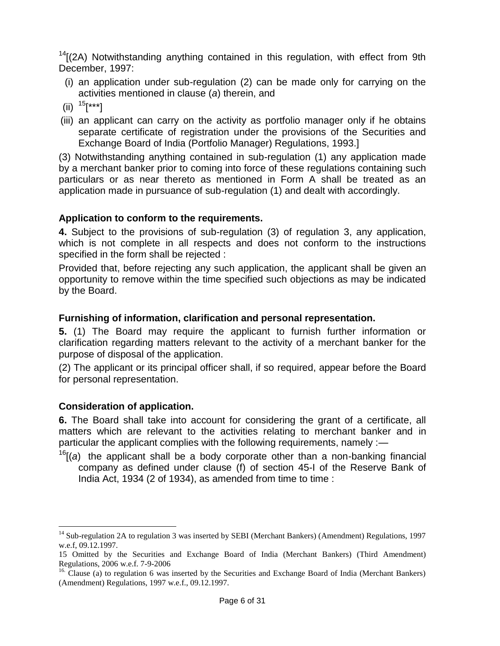$14$ [(2A) Notwithstanding anything contained in this regulation, with effect from 9th December, 1997:

- (i) an application under sub-regulation (2) can be made only for carrying on the activities mentioned in clause (*a*) therein, and
- (ii)  $15$ [\*\*\*]
- (iii) an applicant can carry on the activity as portfolio manager only if he obtains separate certificate of registration under the provisions of the Securities and Exchange Board of India (Portfolio Manager) Regulations, 1993.]

(3) Notwithstanding anything contained in sub-regulation (1) any application made by a merchant banker prior to coming into force of these regulations containing such particulars or as near thereto as mentioned in Form A shall be treated as an application made in pursuance of sub-regulation (1) and dealt with accordingly.

### **Application to conform to the requirements.**

**4.** Subject to the provisions of sub-regulation (3) of regulation 3, any application, which is not complete in all respects and does not conform to the instructions specified in the form shall be rejected :

Provided that, before rejecting any such application, the applicant shall be given an opportunity to remove within the time specified such objections as may be indicated by the Board.

### **Furnishing of information, clarification and personal representation.**

**5.** (1) The Board may require the applicant to furnish further information or clarification regarding matters relevant to the activity of a merchant banker for the purpose of disposal of the application.

(2) The applicant or its principal officer shall, if so required, appear before the Board for personal representation.

## **Consideration of application.**

 $\overline{a}$ 

**6.** The Board shall take into account for considering the grant of a certificate, all matters which are relevant to the activities relating to merchant banker and in particular the applicant complies with the following requirements, namely :-

<sup>16</sup>[(*a*) the applicant shall be a body corporate other than a non-banking financial company as defined under clause (f) of section 45-I of the Reserve Bank of India Act, 1934 (2 of 1934), as amended from time to time :

<sup>&</sup>lt;sup>14</sup> Sub-regulation 2A to regulation 3 was inserted by SEBI (Merchant Bankers) (Amendment) Regulations, 1997 w.e.f, 09.12.1997.

<sup>15</sup> Omitted by the Securities and Exchange Board of India (Merchant Bankers) (Third Amendment) Regulations, 2006 w.e.f. 7-9-2006

<sup>&</sup>lt;sup>16.</sup> Clause (a) to regulation 6 was inserted by the Securities and Exchange Board of India (Merchant Bankers) (Amendment) Regulations, 1997 w.e.f., 09.12.1997.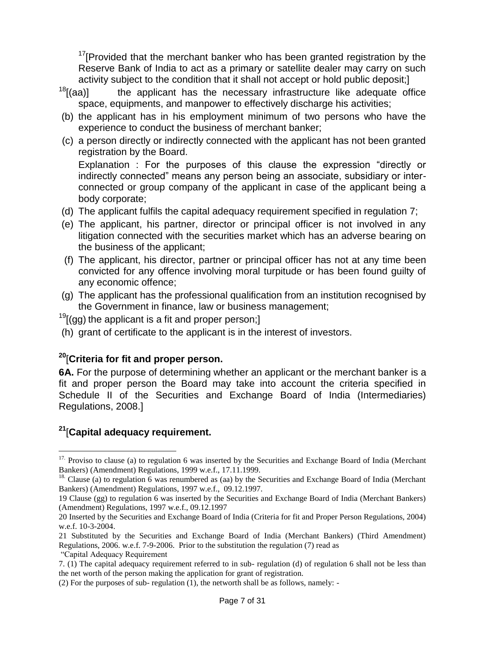$17$ [Provided that the merchant banker who has been granted registration by the Reserve Bank of India to act as a primary or satellite dealer may carry on such activity subject to the condition that it shall not accept or hold public deposit;]

- $18$ [(aa)] the applicant has the necessary infrastructure like adequate office space, equipments, and manpower to effectively discharge his activities;
- (b) the applicant has in his employment minimum of two persons who have the experience to conduct the business of merchant banker;
- (c) a person directly or indirectly connected with the applicant has not been granted registration by the Board.

Explanation : For the purposes of this clause the expression "directly or indirectly connected‖ means any person being an associate, subsidiary or interconnected or group company of the applicant in case of the applicant being a body corporate;

- (d) The applicant fulfils the capital adequacy requirement specified in regulation 7;
- (e) The applicant, his partner, director or principal officer is not involved in any litigation connected with the securities market which has an adverse bearing on the business of the applicant;
- (f) The applicant, his director, partner or principal officer has not at any time been convicted for any offence involving moral turpitude or has been found guilty of any economic offence;
- (g) The applicant has the professional qualification from an institution recognised by the Government in finance, law or business management;

 $19$ [(gg) the applicant is a fit and proper person;]

(h) grant of certificate to the applicant is in the interest of investors.

## **<sup>20</sup>**[**Criteria for fit and proper person.**

**6A.** For the purpose of determining whether an applicant or the merchant banker is a fit and proper person the Board may take into account the criteria specified in Schedule II of the Securities and Exchange Board of India (Intermediaries) Regulations, 2008.]

# **<sup>21</sup>**[**Capital adequacy requirement.**

 $\overline{a}$ 

<sup>&</sup>lt;sup>17.</sup> Proviso to clause (a) to regulation 6 was inserted by the Securities and Exchange Board of India (Merchant Bankers) (Amendment) Regulations, 1999 w.e.f., 17.11.1999.

<sup>&</sup>lt;sup>18.</sup> Clause (a) to regulation 6 was renumbered as (aa) by the Securities and Exchange Board of India (Merchant Bankers) (Amendment) Regulations, 1997 w.e.f., 09.12.1997.

<sup>19</sup> Clause (gg) to regulation 6 was inserted by the Securities and Exchange Board of India (Merchant Bankers) (Amendment) Regulations, 1997 w.e.f., 09.12.1997

<sup>20</sup> Inserted by the Securities and Exchange Board of India (Criteria for fit and Proper Person Regulations, 2004) w.e.f. 10-3-2004.

<sup>21</sup> Substituted by the Securities and Exchange Board of India (Merchant Bankers) (Third Amendment) Regulations, 2006. w.e.f. 7-9-2006. Prior to the substitution the regulation (7) read as ―Capital Adequacy Requirement

<sup>7. (1)</sup> The capital adequacy requirement referred to in sub- regulation (d) of regulation 6 shall not be less than

the net worth of the person making the application for grant of registration.

<sup>(2)</sup> For the purposes of sub- regulation (1), the networth shall be as follows, namely: -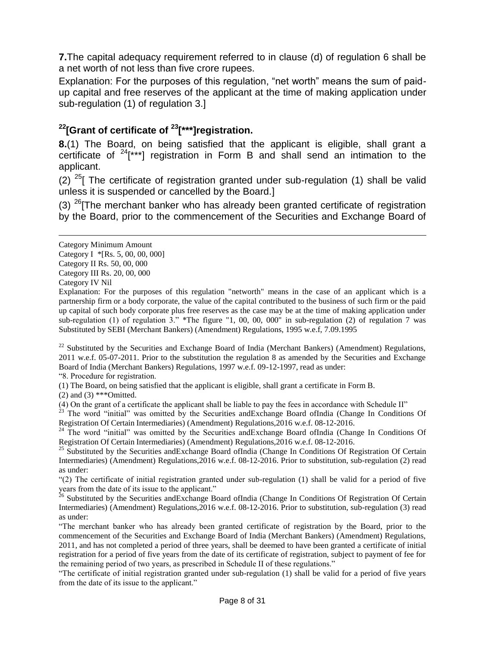**7.**The capital adequacy requirement referred to in clause (d) of regulation 6 shall be a net worth of not less than five crore rupees.

Explanation: For the purposes of this regulation, "net worth" means the sum of paidup capital and free reserves of the applicant at the time of making application under sub-regulation (1) of regulation 3.]

# **<sup>22</sup>[Grant of certificate of <sup>23</sup>[\*\*\*]registration.**

**8.**(1) The Board, on being satisfied that the applicant is eligible, shall grant a certificate of  $24$ [\*\*\*] registration in Form B and shall send an intimation to the applicant.

(2)  $^{25}$ [ The certificate of registration granted under sub-regulation (1) shall be valid unless it is suspended or cancelled by the Board.]

(3)  $^{26}$ [The merchant banker who has already been granted certificate of registration by the Board, prior to the commencement of the Securities and Exchange Board of

 $\overline{a}$ 

<sup>22</sup> Substituted by the Securities and Exchange Board of India (Merchant Bankers) (Amendment) Regulations, 2011 w.e.f. 05-07-2011. Prior to the substitution the regulation 8 as amended by the Securities and Exchange Board of India (Merchant Bankers) Regulations, 1997 w.e.f. 09-12-1997, read as under: ―8. Procedure for registration.

(1) The Board, on being satisfied that the applicant is eligible, shall grant a certificate in Form B.

(2) and (3) \*\*\* $Omitted.$ 

(4) On the grant of a certificate the applicant shall be liable to pay the fees in accordance with Schedule II"

 $23$  The word "initial" was omitted by the Securities andExchange Board ofIndia (Change In Conditions Of Registration Of Certain Intermediaries) (Amendment) Regulations,2016 w.e.f. 08-12-2016.

<sup>24</sup> The word "initial" was omitted by the Securities andExchange Board ofIndia (Change In Conditions Of Registration Of Certain Intermediaries) (Amendment) Regulations,2016 w.e.f. 08-12-2016.

<sup>25</sup> Substituted by the Securities andExchange Board ofIndia (Change In Conditions Of Registration Of Certain Intermediaries) (Amendment) Regulations,2016 w.e.f. 08-12-2016. Prior to substitution, sub-regulation (2) read as under:

―(2) The certificate of initial registration granted under sub-regulation (1) shall be valid for a period of five years from the date of its issue to the applicant."

<sup>26</sup> Substituted by the Securities and Exchange Board of India (Change In Conditions Of Registration Of Certain Intermediaries) (Amendment) Regulations,2016 w.e.f. 08-12-2016. Prior to substitution, sub-regulation (3) read as under:

―The merchant banker who has already been granted certificate of registration by the Board, prior to the commencement of the Securities and Exchange Board of India (Merchant Bankers) (Amendment) Regulations, 2011, and has not completed a period of three years, shall be deemed to have been granted a certificate of initial registration for a period of five years from the date of its certificate of registration, subject to payment of fee for the remaining period of two years, as prescribed in Schedule II of these regulations."

―The certificate of initial registration granted under sub-regulation (1) shall be valid for a period of five years from the date of its issue to the applicant."

Category Minimum Amount

Category I \*[Rs. 5, 00, 00, 000]

Category II Rs. 50, 00, 000

Category III Rs. 20, 00, 000

Category IV Nil

Explanation: For the purposes of this regulation "networth" means in the case of an applicant which is a partnership firm or a body corporate, the value of the capital contributed to the business of such firm or the paid up capital of such body corporate plus free reserves as the case may be at the time of making application under sub-regulation (1) of regulation  $3$ ." \*The figure "1, 00, 00, 000" in sub-regulation (2) of regulation 7 was Substituted by SEBI (Merchant Bankers) (Amendment) Regulations, 1995 w.e.f, 7.09.1995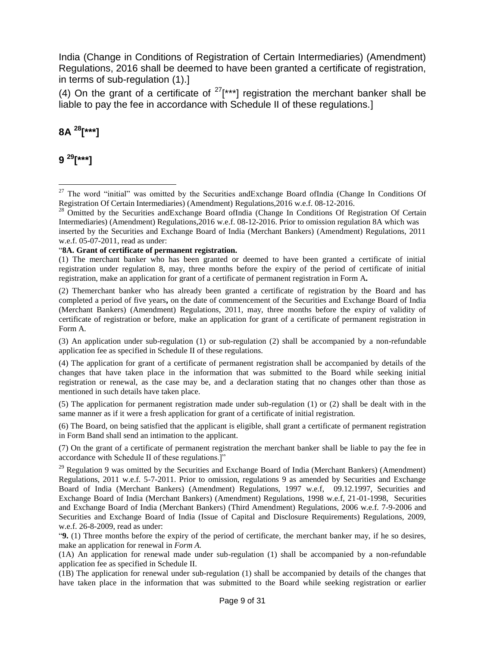India (Change in Conditions of Registration of Certain Intermediaries) (Amendment) Regulations, 2016 shall be deemed to have been granted a certificate of registration, in terms of sub-regulation (1).]

(4) On the grant of a certificate of  $27$ [\*\*\*] registration the merchant banker shall be liable to pay the fee in accordance with Schedule II of these regulations.]

# **8A <sup>28</sup>[\*\*\*]**

**9 <sup>29</sup>[\*\*\*]**

 $\overline{a}$ 

#### ―**8A. Grant of certificate of permanent registration.**

(2) Themerchant banker who has already been granted a certificate of registration by the Board and has completed a period of five years**,** on the date of commencement of the Securities and Exchange Board of India (Merchant Bankers) (Amendment) Regulations, 2011, may, three months before the expiry of validity of certificate of registration or before, make an application for grant of a certificate of permanent registration in Form A*.* 

(3) An application under sub-regulation (1) or sub-regulation (2) shall be accompanied by a non-refundable application fee as specified in Schedule II of these regulations.

(4) The application for grant of a certificate of permanent registration shall be accompanied by details of the changes that have taken place in the information that was submitted to the Board while seeking initial registration or renewal, as the case may be, and a declaration stating that no changes other than those as mentioned in such details have taken place.

(5) The application for permanent registration made under sub-regulation (1) or (2) shall be dealt with in the same manner as if it were a fresh application for grant of a certificate of initial registration.

(6) The Board, on being satisfied that the applicant is eligible, shall grant a certificate of permanent registration in Form Band shall send an intimation to the applicant.

(7) On the grant of a certificate of permanent registration the merchant banker shall be liable to pay the fee in accordance with Schedule II of these regulations.]"

<sup>29</sup> Regulation 9 was omitted by the Securities and Exchange Board of India (Merchant Bankers) (Amendment) Regulations, 2011 w.e.f. 5-7-2011. Prior to omission, regulations 9 as amended by Securities and Exchange Board of India (Merchant Bankers) (Amendment) Regulations, 1997 w.e.f, 09.12.1997, Securities and Exchange Board of India (Merchant Bankers) (Amendment) Regulations, 1998 w.e.f, 21-01-1998, Securities and Exchange Board of India (Merchant Bankers) (Third Amendment) Regulations, 2006 w.e.f. 7-9-2006 and Securities and Exchange Board of India (Issue of Capital and Disclosure Requirements) Regulations, 2009, w.e.f. 26-8-2009, read as under:

―**9.** (1) Three months before the expiry of the period of certificate, the merchant banker may, if he so desires, make an application for renewal in *Form A.*

(1A) An application for renewal made under sub-regulation (1) shall be accompanied by a non-refundable application fee as specified in Schedule II.

(1B) The application for renewal under sub-regulation (1) shall be accompanied by details of the changes that have taken place in the information that was submitted to the Board while seeking registration or earlier

<sup>&</sup>lt;sup>27</sup> The word "initial" was omitted by the Securities andExchange Board ofIndia (Change In Conditions Of Registration Of Certain Intermediaries) (Amendment) Regulations,2016 w.e.f. 08-12-2016.

<sup>&</sup>lt;sup>28</sup> Omitted by the Securities andExchange Board ofIndia (Change In Conditions Of Registration Of Certain Intermediaries) (Amendment) Regulations,2016 w.e.f. 08-12-2016. Prior to omission regulation 8A which was inserted by the Securities and Exchange Board of India (Merchant Bankers) (Amendment) Regulations, 2011 w.e.f. 05-07-2011, read as under:

<sup>(1)</sup> The merchant banker who has been granted or deemed to have been granted a certificate of initial registration under regulation 8, may, three months before the expiry of the period of certificate of initial registration, make an application for grant of a certificate of permanent registration in Form A*.*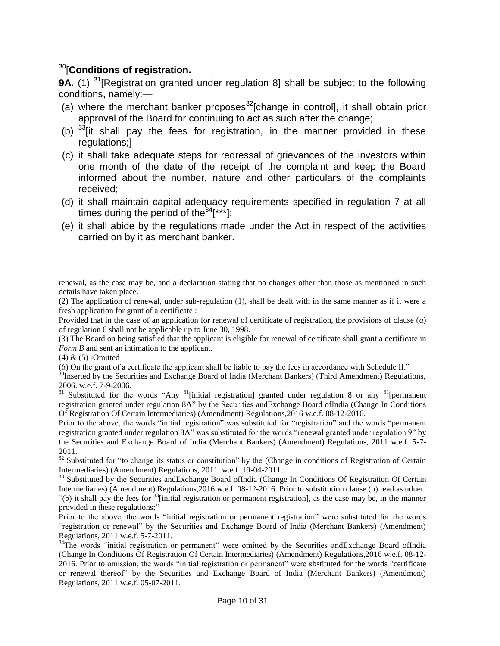# <sup>30</sup>[**Conditions of registration.**

**9A.** (1) <sup>31</sup> [Registration granted under regulation 8] shall be subject to the following conditions, namely:—

- (a) where the merchant banker proposes $^{32}$ [change in control], it shall obtain prior approval of the Board for continuing to act as such after the change;
- (b)  $33$ [it shall pay the fees for registration, in the manner provided in these regulations;]
- (c) it shall take adequate steps for redressal of grievances of the investors within one month of the date of the receipt of the complaint and keep the Board informed about the number, nature and other particulars of the complaints received;
- (d) it shall maintain capital adequacy requirements specified in regulation 7 at all times during the period of the  $34$ [\*\*\*];
- (e) it shall abide by the regulations made under the Act in respect of the activities carried on by it as merchant banker.

 $\overline{a}$ 

renewal, as the case may be, and a declaration stating that no changes other than those as mentioned in such details have taken place.

<sup>(2)</sup> The application of renewal, under sub-regulation (1), shall be dealt with in the same manner as if it were a fresh application for grant of a certificate :

Provided that in the case of an application for renewal of certificate of registration, the provisions of clause (*a*) of regulation 6 shall not be applicable up to June 30, 1998.

<sup>(3)</sup> The Board on being satisfied that the applicant is eligible for renewal of certificate shall grant a certificate in *Form B* and sent an intimation to the applicant.

<sup>(4) &</sup>amp; (5) -Omitted

<sup>(6)</sup> On the grant of a certificate the applicant shall be liable to pay the fees in accordance with Schedule II."

<sup>&</sup>lt;sup>30</sup>Inserted by the Securities and Exchange Board of India (Merchant Bankers) (Third Amendment) Regulations, 2006. w.e.f. 7-9-2006.

 $31$  Substituted for the words "Any  $31$ [initial registration] granted under regulation 8 or any  $31$ [permanent] registration granted under regulation 8A" by the Securities andExchange Board ofIndia (Change In Conditions Of Registration Of Certain Intermediaries) (Amendment) Regulations,2016 w.e.f. 08-12-2016.

Prior to the above, the words "initial registration" was substituted for "registration" and the words "permanent registration granted under regulation 8A" was substituted for the words "renewal granted under regulation 9" by the Securities and Exchange Board of India (Merchant Bankers) (Amendment) Regulations, 2011 w.e.f. 5-7- 2011.

 $32$  Substituted for "to change its status or constitution" by the (Change in conditions of Registration of Certain Intermediaries) (Amendment) Regulations, 2011. w.e.f. 19-04-2011.

<sup>&</sup>lt;sup>33</sup> Substituted by the Securities andExchange Board ofIndia (Change In Conditions Of Registration Of Certain Intermediaries) (Amendment) Regulations,2016 w.e.f. 08-12-2016. Prior to substitution clause (b) read as udner "(b) it shall pay the fees for  $33$ [initial registration or permanent registration], as the case may be, in the manner provided in these regulations;"

Prior to the above, the words "initial registration or permanent registration" were substituted for the words ―registration or renewal‖ by the Securities and Exchange Board of India (Merchant Bankers) (Amendment) Regulations, 2011 w.e.f. 5-7-2011.

<sup>&</sup>lt;sup>34</sup>The words "initial registration or permanent" were omitted by the Securities andExchange Board ofIndia (Change In Conditions Of Registration Of Certain Intermediaries) (Amendment) Regulations,2016 w.e.f. 08-12- 2016. Prior to omission, the words "initial registration or permanent" were sbstituted for the words "certificate" or renewal thereof" by the Securities and Exchange Board of India (Merchant Bankers) (Amendment) Regulations, 2011 w.e.f. 05-07-2011.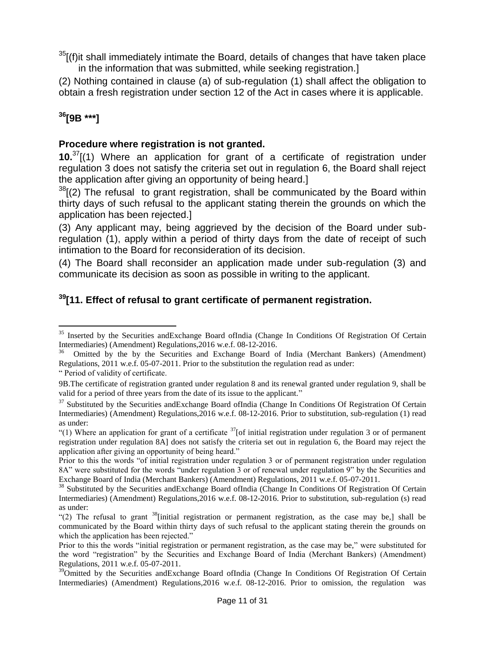$35$ <sup>[(f)</sup>it shall immediately intimate the Board, details of changes that have taken place in the information that was submitted, while seeking registration.]

(2) Nothing contained in clause (a) of sub-regulation (1) shall affect the obligation to obtain a fresh registration under section 12 of the Act in cases where it is applicable.

# **<sup>36</sup>[9B \*\*\*]**

 $\overline{a}$ 

## **Procedure where registration is not granted.**

**10.**<sup>37</sup>[(1) Where an application for grant of a certificate of registration under regulation 3 does not satisfy the criteria set out in regulation 6, the Board shall reject the application after giving an opportunity of being heard.]

 $38$ <sup>38</sup> $(2)$  The refusal to grant registration, shall be communicated by the Board within thirty days of such refusal to the applicant stating therein the grounds on which the application has been rejected.]

(3) Any applicant may, being aggrieved by the decision of the Board under subregulation (1), apply within a period of thirty days from the date of receipt of such intimation to the Board for reconsideration of its decision.

(4) The Board shall reconsider an application made under sub-regulation (3) and communicate its decision as soon as possible in writing to the applicant.

# **<sup>39</sup>[11. Effect of refusal to grant certificate of permanent registration.**

― Period of validity of certificate.

<sup>&</sup>lt;sup>35</sup> Inserted by the Securities andExchange Board ofIndia (Change In Conditions Of Registration Of Certain Intermediaries) (Amendment) Regulations,2016 w.e.f. 08-12-2016.

<sup>36</sup> Omitted by the by the Securities and Exchange Board of India (Merchant Bankers) (Amendment) Regulations, 2011 w.e.f. 05-07-2011. Prior to the substitution the regulation read as under:

<sup>9</sup>B.The certificate of registration granted under regulation 8 and its renewal granted under regulation 9, shall be valid for a period of three years from the date of its issue to the applicant."

<sup>&</sup>lt;sup>37</sup> Substituted by the Securities andExchange Board ofIndia (Change In Conditions Of Registration Of Certain Intermediaries) (Amendment) Regulations,2016 w.e.f. 08-12-2016. Prior to substitution, sub-regulation (1) read as under:

<sup>&</sup>quot;(1) Where an application for grant of a certificate  $37$ [of initial registration under regulation 3 or of permanent registration under regulation 8A] does not satisfy the criteria set out in regulation 6, the Board may reject the application after giving an opportunity of being heard."

Prior to this the words "of initial registration under regulation 3 or of permanent registration under regulation 8A" were substituted for the words "under regulation 3 or of renewal under regulation 9" by the Securities and Exchange Board of India (Merchant Bankers) (Amendment) Regulations, 2011 w.e.f. 05-07-2011.

<sup>&</sup>lt;sup>38</sup> Substituted by the Securities andExchange Board ofIndia (Change In Conditions Of Registration Of Certain Intermediaries) (Amendment) Regulations,2016 w.e.f. 08-12-2016. Prior to substitution, sub-regulation (s) read as under:

<sup>&</sup>quot;(2) The refusal to grant  $38$ [initial registration or permanent registration, as the case may be,] shall be communicated by the Board within thirty days of such refusal to the applicant stating therein the grounds on which the application has been rejected."

Prior to this the words "initial registration or permanent registration, as the case may be," were substituted for the word "registration" by the Securities and Exchange Board of India (Merchant Bankers) (Amendment) Regulations, 2011 w.e.f. 05-07-2011.

<sup>&</sup>lt;sup>39</sup>Omitted by the Securities andExchange Board ofIndia (Change In Conditions Of Registration Of Certain Intermediaries) (Amendment) Regulations,2016 w.e.f. 08-12-2016. Prior to omission, the regulation was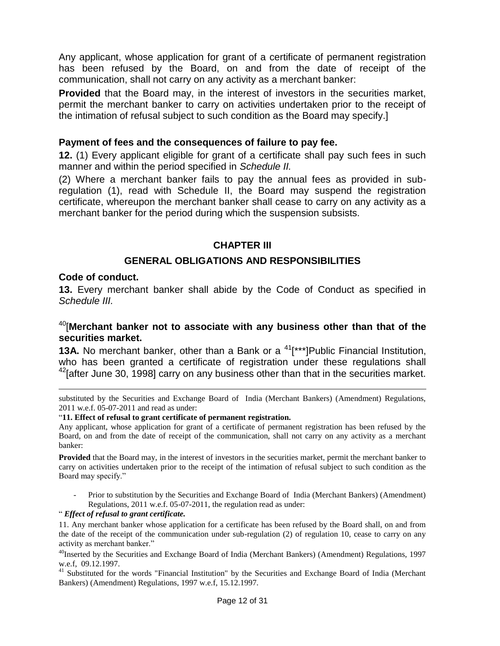Any applicant, whose application for grant of a certificate of permanent registration has been refused by the Board, on and from the date of receipt of the communication, shall not carry on any activity as a merchant banker:

**Provided** that the Board may, in the interest of investors in the securities market, permit the merchant banker to carry on activities undertaken prior to the receipt of the intimation of refusal subject to such condition as the Board may specify.]

#### **Payment of fees and the consequences of failure to pay fee.**

**12.** (1) Every applicant eligible for grant of a certificate shall pay such fees in such manner and within the period specified in *Schedule II.*

(2) Where a merchant banker fails to pay the annual fees as provided in subregulation (1), read with Schedule II, the Board may suspend the registration certificate, whereupon the merchant banker shall cease to carry on any activity as a merchant banker for the period during which the suspension subsists.

### **CHAPTER III**

### **GENERAL OBLIGATIONS AND RESPONSIBILITIES**

#### **Code of conduct.**

 $\overline{a}$ 

**13.** Every merchant banker shall abide by the Code of Conduct as specified in *Schedule III.*

## <sup>40</sup>[**Merchant banker not to associate with any business other than that of the securities market.**

**13A.** No merchant banker, other than a Bank or a <sup>41</sup><sup>\*\*\*</sup>]Public Financial Institution, who has been granted a certificate of registration under these regulations shall  $42$ [after June 30, 1998] carry on any business other than that in the securities market.

substituted by the Securities and Exchange Board of India (Merchant Bankers) (Amendment) Regulations, 2011 w.e.f. 05-07-2011 and read as under:

#### ―**11. Effect of refusal to grant certificate of permanent registration.**

Any applicant, whose application for grant of a certificate of permanent registration has been refused by the Board, on and from the date of receipt of the communication, shall not carry on any activity as a merchant banker:

**Provided** that the Board may, in the interest of investors in the securities market, permit the merchant banker to carry on activities undertaken prior to the receipt of the intimation of refusal subject to such condition as the Board may specify."

- Prior to substitution by the Securities and Exchange Board of India (Merchant Bankers) (Amendment) Regulations, 2011 w.e.f. 05-07-2011, the regulation read as under:

#### ― *Effect of refusal to grant certificate.*

11. Any merchant banker whose application for a certificate has been refused by the Board shall, on and from the date of the receipt of the communication under sub-regulation (2) of regulation 10, cease to carry on any activity as merchant banker."

 $^{40}$ Inserted by the Securities and Exchange Board of India (Merchant Bankers) (Amendment) Regulations, 1997 w.e.f, 09.12.1997.

41 Substituted for the words "Financial Institution" by the Securities and Exchange Board of India (Merchant Bankers) (Amendment) Regulations, 1997 w.e.f, 15.12.1997.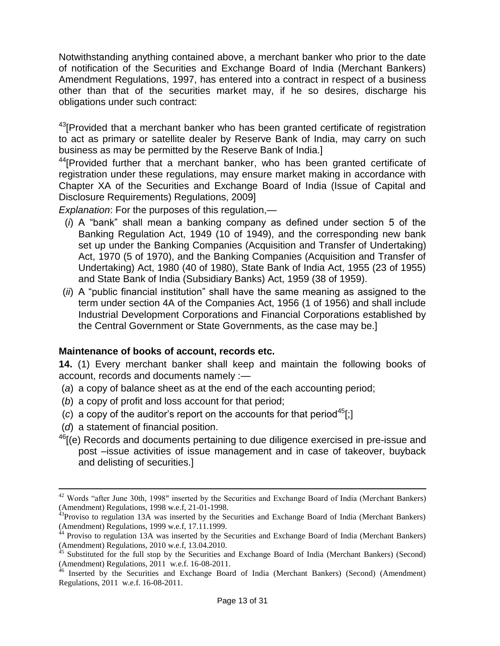Notwithstanding anything contained above, a merchant banker who prior to the date of notification of the Securities and Exchange Board of India (Merchant Bankers) Amendment Regulations, 1997, has entered into a contract in respect of a business other than that of the securities market may, if he so desires, discharge his obligations under such contract:

<sup>43</sup>[Provided that a merchant banker who has been granted certificate of registration to act as primary or satellite dealer by Reserve Bank of India, may carry on such business as may be permitted by the Reserve Bank of India.]

<sup>44</sup>[Provided further that a merchant banker, who has been granted certificate of registration under these regulations, may ensure market making in accordance with Chapter XA of the Securities and Exchange Board of India (Issue of Capital and Disclosure Requirements) Regulations, 2009]

*Explanation*: For the purposes of this regulation,—

- $(i)$  A "bank" shall mean a banking company as defined under section 5 of the Banking Regulation Act, 1949 (10 of 1949), and the corresponding new bank set up under the Banking Companies (Acquisition and Transfer of Undertaking) Act, 1970 (5 of 1970), and the Banking Companies (Acquisition and Transfer of Undertaking) Act, 1980 (40 of 1980), State Bank of India Act, 1955 (23 of 1955) and State Bank of India (Subsidiary Banks) Act, 1959 (38 of 1959).
- (*ii*) A "public financial institution" shall have the same meaning as assigned to the term under section 4A of the Companies Act, 1956 (1 of 1956) and shall include Industrial Development Corporations and Financial Corporations established by the Central Government or State Governments, as the case may be.]

## **Maintenance of books of account, records etc.**

**14.** (1) Every merchant banker shall keep and maintain the following books of account, records and documents namely :—

- (*a*) a copy of balance sheet as at the end of the each accounting period;
- (*b*) a copy of profit and loss account for that period;
- (c) a copy of the auditor's report on the accounts for that period<sup>45</sup>[;]
- (*d*) a statement of financial position.

 $\overline{a}$ 

 $46$ [(e) Records and documents pertaining to due diligence exercised in pre-issue and post –issue activities of issue management and in case of takeover, buyback and delisting of securities.]

<sup>&</sup>lt;sup>42</sup> Words "after June 30th, 1998" inserted by the Securities and Exchange Board of India (Merchant Bankers) (Amendment) Regulations, 1998 w.e.f, 21-01-1998.

 $43$ Proviso to regulation 13A was inserted by the Securities and Exchange Board of India (Merchant Bankers) (Amendment) Regulations, 1999 w.e.f, 17.11.1999.

 $44$  Proviso to regulation 13A was inserted by the Securities and Exchange Board of India (Merchant Bankers) (Amendment) Regulations, 2010 w.e.f, 13.04.2010.

 $45$  Substituted for the full stop by the Securities and Exchange Board of India (Merchant Bankers) (Second) (Amendment) Regulations, 2011 w.e.f. 16-08-2011.

<sup>&</sup>lt;sup>46</sup> Inserted by the Securities and Exchange Board of India (Merchant Bankers) (Second) (Amendment) Regulations, 2011 w.e.f. 16-08-2011.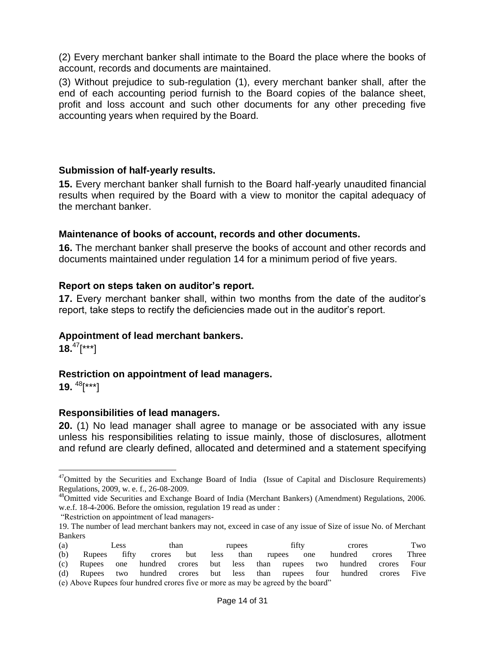(2) Every merchant banker shall intimate to the Board the place where the books of account, records and documents are maintained.

(3) Without prejudice to sub-regulation (1), every merchant banker shall, after the end of each accounting period furnish to the Board copies of the balance sheet, profit and loss account and such other documents for any other preceding five accounting years when required by the Board.

## **Submission of half-yearly results.**

**15.** Every merchant banker shall furnish to the Board half-yearly unaudited financial results when required by the Board with a view to monitor the capital adequacy of the merchant banker.

### **Maintenance of books of account, records and other documents.**

**16.** The merchant banker shall preserve the books of account and other records and documents maintained under regulation 14 for a minimum period of five years.

#### **Report on steps taken on auditor's report.**

**17.** Every merchant banker shall, within two months from the date of the auditor's report, take steps to rectify the deficiencies made out in the auditor's report.

#### **Appointment of lead merchant bankers.**

**18.**<sup>47</sup>[\*\*\*]

## **Restriction on appointment of lead managers.**

**19.**  <sup>48</sup>[\*\*\*]

 $\overline{a}$ 

#### **Responsibilities of lead managers.**

**20.** (1) No lead manager shall agree to manage or be associated with any issue unless his responsibilities relating to issue mainly, those of disclosures, allotment and refund are clearly defined, allocated and determined and a statement specifying

<sup>19.</sup> The number of lead merchant bankers may not, exceed in case of any issue of Size of issue No. of Merchant Bankers

| (a) |                                                                                  | <b>Less</b> |                      | than |  | rupees |  | fifty |  | crores                                                                      | Two   |
|-----|----------------------------------------------------------------------------------|-------------|----------------------|------|--|--------|--|-------|--|-----------------------------------------------------------------------------|-------|
| (b) | Rupees fifty                                                                     |             | crores but less than |      |  |        |  |       |  | rupees one hundred crores                                                   | Three |
|     |                                                                                  |             |                      |      |  |        |  |       |  | (c) Rupees one hundred crores but less than rupees two hundred crores       | Four  |
|     |                                                                                  |             |                      |      |  |        |  |       |  | (d) Rupees two hundred crores but less than rupees four hundred crores Five |       |
|     | (e) Above Rupees four hundred crores five or more as may be agreed by the board" |             |                      |      |  |        |  |       |  |                                                                             |       |

<sup>&</sup>lt;sup>47</sup>Omitted by the Securities and Exchange Board of India (Issue of Capital and Disclosure Requirements) Regulations, 2009, w. e. f., 26-08-2009.

<sup>&</sup>lt;sup>48</sup>Omitted vide Securities and Exchange Board of India (Merchant Bankers) (Amendment) Regulations, 2006. w.e.f. 18-4-2006. Before the omission, regulation 19 read as under :

<sup>―</sup>Restriction on appointment of lead managers-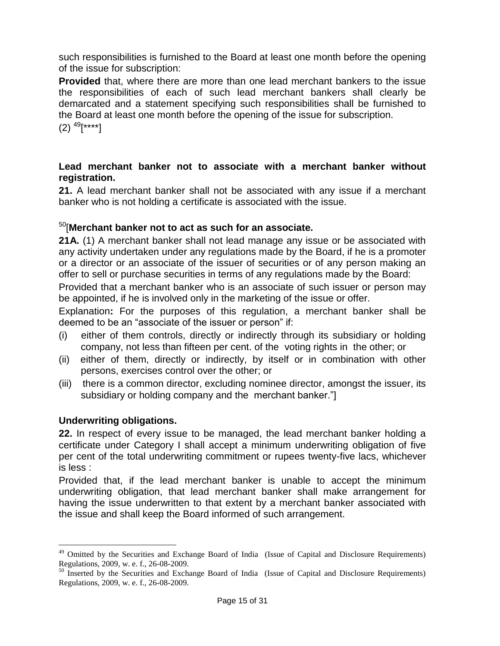such responsibilities is furnished to the Board at least one month before the opening of the issue for subscription:

**Provided** that, where there are more than one lead merchant bankers to the issue the responsibilities of each of such lead merchant bankers shall clearly be demarcated and a statement specifying such responsibilities shall be furnished to the Board at least one month before the opening of the issue for subscription.

 $(2)$   $^{49}$ [\*\*\*\*]

### **Lead merchant banker not to associate with a merchant banker without registration.**

**21.** A lead merchant banker shall not be associated with any issue if a merchant banker who is not holding a certificate is associated with the issue.

# <sup>50</sup>[**Merchant banker not to act as such for an associate.**

**21A.** (1) A merchant banker shall not lead manage any issue or be associated with any activity undertaken under any regulations made by the Board, if he is a promoter or a director or an associate of the issuer of securities or of any person making an offer to sell or purchase securities in terms of any regulations made by the Board:

Provided that a merchant banker who is an associate of such issuer or person may be appointed, if he is involved only in the marketing of the issue or offer.

Explanation**:** For the purposes of this regulation, a merchant banker shall be deemed to be an "associate of the issuer or person" if:

- (i) either of them controls, directly or indirectly through its subsidiary or holding company, not less than fifteen per cent. of the voting rights in the other; or
- (ii) either of them, directly or indirectly, by itself or in combination with other persons, exercises control over the other; or
- (iii) there is a common director, excluding nominee director, amongst the issuer, its subsidiary or holding company and the merchant banker."

## **Underwriting obligations.**

 $\overline{a}$ 

**22.** In respect of every issue to be managed, the lead merchant banker holding a certificate under Category I shall accept a minimum underwriting obligation of five per cent of the total underwriting commitment or rupees twenty-five lacs, whichever is less :

Provided that, if the lead merchant banker is unable to accept the minimum underwriting obligation, that lead merchant banker shall make arrangement for having the issue underwritten to that extent by a merchant banker associated with the issue and shall keep the Board informed of such arrangement.

<sup>&</sup>lt;sup>49</sup> Omitted by the Securities and Exchange Board of India (Issue of Capital and Disclosure Requirements) Regulations, 2009, w. e. f., 26-08-2009.

<sup>&</sup>lt;sup>50</sup> Inserted by the Securities and Exchange Board of India (Issue of Capital and Disclosure Requirements) Regulations, 2009, w. e. f., 26-08-2009.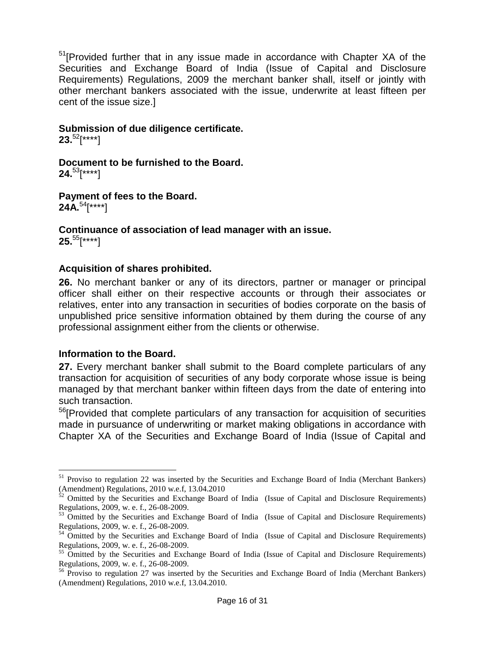<sup>51</sup>[Provided further that in any issue made in accordance with Chapter XA of the Securities and Exchange Board of India (Issue of Capital and Disclosure Requirements) Regulations, 2009 the merchant banker shall, itself or jointly with other merchant bankers associated with the issue, underwrite at least fifteen per cent of the issue size.]

#### **Submission of due diligence certificate.**

**23.**<sup>52</sup>[\*\*\*\*]

**Document to be furnished to the Board. 24.**<sup>53</sup>[\*\*\*\*]

**Payment of fees to the Board. 24A.**<sup>54</sup>[\*\*\*\*]

#### **Continuance of association of lead manager with an issue. 25.**<sup>55</sup>[\*\*\*\*]

 $\overline{a}$ 

#### **Acquisition of shares prohibited.**

**26.** No merchant banker or any of its directors, partner or manager or principal officer shall either on their respective accounts or through their associates or relatives, enter into any transaction in securities of bodies corporate on the basis of unpublished price sensitive information obtained by them during the course of any professional assignment either from the clients or otherwise.

#### **Information to the Board.**

**27.** Every merchant banker shall submit to the Board complete particulars of any transaction for acquisition of securities of any body corporate whose issue is being managed by that merchant banker within fifteen days from the date of entering into such transaction.

<sup>56</sup>[Provided that complete particulars of any transaction for acquisition of securities made in pursuance of underwriting or market making obligations in accordance with Chapter XA of the Securities and Exchange Board of India (Issue of Capital and

<sup>&</sup>lt;sup>51</sup> Proviso to regulation 22 was inserted by the Securities and Exchange Board of India (Merchant Bankers) (Amendment) Regulations, 2010 w.e.f, 13.04.2010

 $52$  Omitted by the Securities and Exchange Board of India (Issue of Capital and Disclosure Requirements) Regulations, 2009, w. e. f., 26-08-2009.

<sup>&</sup>lt;sup>53</sup> Omitted by the Securities and Exchange Board of India (Issue of Capital and Disclosure Requirements) Regulations, 2009, w. e. f., 26-08-2009.

<sup>54</sup> Omitted by the Securities and Exchange Board of India (Issue of Capital and Disclosure Requirements) Regulations, 2009, w. e. f., 26-08-2009.

<sup>&</sup>lt;sup>55</sup> Omitted by the Securities and Exchange Board of India (Issue of Capital and Disclosure Requirements) Regulations, 2009, w. e. f., 26-08-2009.

<sup>&</sup>lt;sup>56</sup> Proviso to regulation 27 was inserted by the Securities and Exchange Board of India (Merchant Bankers) (Amendment) Regulations, 2010 w.e.f, 13.04.2010.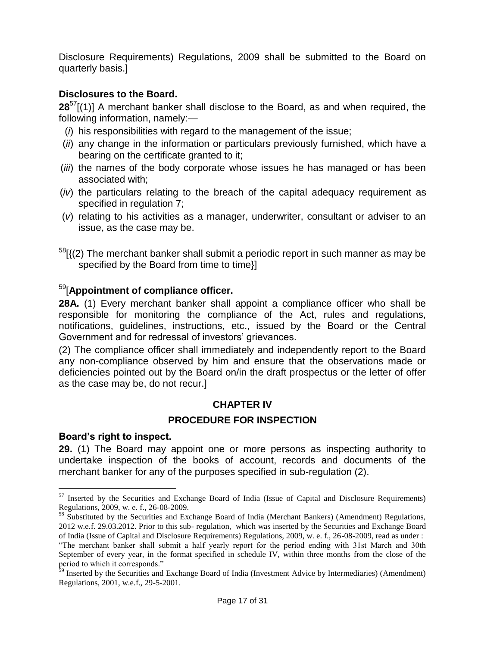Disclosure Requirements) Regulations, 2009 shall be submitted to the Board on quarterly basis.]

## **Disclosures to the Board.**

**28**<sup>57</sup>[(1)] A merchant banker shall disclose to the Board, as and when required, the following information, namely:—

- (*i*) his responsibilities with regard to the management of the issue;
- (*ii*) any change in the information or particulars previously furnished, which have a bearing on the certificate granted to it;
- (*iii*) the names of the body corporate whose issues he has managed or has been associated with;
- (*iv*) the particulars relating to the breach of the capital adequacy requirement as specified in regulation 7;
- (*v*) relating to his activities as a manager, underwriter, consultant or adviser to an issue, as the case may be.
- $58$ [ $(2)$ ] The merchant banker shall submit a periodic report in such manner as may be specified by the Board from time to time}]

## <sup>59</sup>[**Appointment of compliance officer.**

**28A.** (1) Every merchant banker shall appoint a compliance officer who shall be responsible for monitoring the compliance of the Act, rules and regulations, notifications, guidelines, instructions, etc., issued by the Board or the Central Government and for redressal of investors' grievances.

(2) The compliance officer shall immediately and independently report to the Board any non-compliance observed by him and ensure that the observations made or deficiencies pointed out by the Board on/in the draft prospectus or the letter of offer as the case may be, do not recur.]

## **CHAPTER IV**

## **PROCEDURE FOR INSPECTION**

## **Board's right to inspect.**

 $\overline{a}$ 

**29.** (1) The Board may appoint one or more persons as inspecting authority to undertake inspection of the books of account, records and documents of the merchant banker for any of the purposes specified in sub-regulation (2).

<sup>&</sup>lt;sup>57</sup> Inserted by the Securities and Exchange Board of India (Issue of Capital and Disclosure Requirements) Regulations, 2009, w. e. f., 26-08-2009.

<sup>&</sup>lt;sup>58</sup> Substituted by the Securities and Exchange Board of India (Merchant Bankers) (Amendment) Regulations, 2012 w.e.f. 29.03.2012. Prior to this sub- regulation, which was inserted by the Securities and Exchange Board of India (Issue of Capital and Disclosure Requirements) Regulations, 2009, w. e. f., 26-08-2009, read as under : ―The merchant banker shall submit a half yearly report for the period ending with 31st March and 30th September of every year, in the format specified in schedule IV, within three months from the close of the period to which it corresponds."

<sup>&</sup>lt;sup>59</sup> Inserted by the Securities and Exchange Board of India (Investment Advice by Intermediaries) (Amendment) Regulations, 2001, w.e.f., 29-5-2001.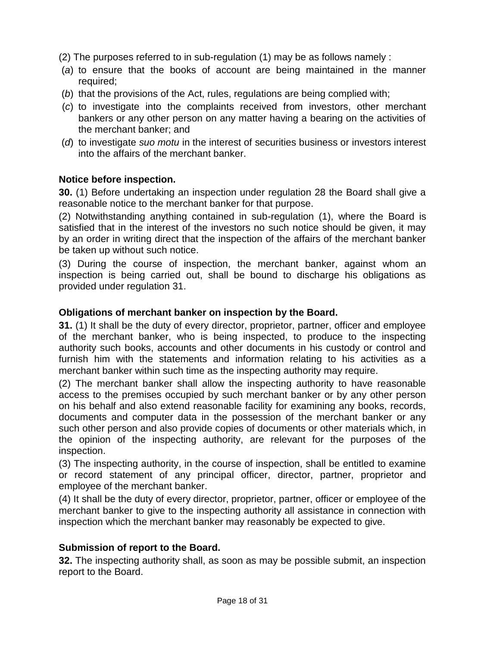(2) The purposes referred to in sub-regulation (1) may be as follows namely :

- (*a*) to ensure that the books of account are being maintained in the manner required;
- (*b*) that the provisions of the Act, rules, regulations are being complied with;
- (*c*) to investigate into the complaints received from investors, other merchant bankers or any other person on any matter having a bearing on the activities of the merchant banker; and
- (*d*) to investigate *suo motu* in the interest of securities business or investors interest into the affairs of the merchant banker.

### **Notice before inspection.**

**30.** (1) Before undertaking an inspection under regulation 28 the Board shall give a reasonable notice to the merchant banker for that purpose.

(2) Notwithstanding anything contained in sub-regulation (1), where the Board is satisfied that in the interest of the investors no such notice should be given, it may by an order in writing direct that the inspection of the affairs of the merchant banker be taken up without such notice.

(3) During the course of inspection, the merchant banker, against whom an inspection is being carried out, shall be bound to discharge his obligations as provided under regulation 31.

### **Obligations of merchant banker on inspection by the Board.**

**31.** (1) It shall be the duty of every director, proprietor, partner, officer and employee of the merchant banker, who is being inspected, to produce to the inspecting authority such books, accounts and other documents in his custody or control and furnish him with the statements and information relating to his activities as a merchant banker within such time as the inspecting authority may require.

(2) The merchant banker shall allow the inspecting authority to have reasonable access to the premises occupied by such merchant banker or by any other person on his behalf and also extend reasonable facility for examining any books, records, documents and computer data in the possession of the merchant banker or any such other person and also provide copies of documents or other materials which, in the opinion of the inspecting authority, are relevant for the purposes of the inspection.

(3) The inspecting authority, in the course of inspection, shall be entitled to examine or record statement of any principal officer, director, partner, proprietor and employee of the merchant banker.

(4) It shall be the duty of every director, proprietor, partner, officer or employee of the merchant banker to give to the inspecting authority all assistance in connection with inspection which the merchant banker may reasonably be expected to give.

#### **Submission of report to the Board.**

**32.** The inspecting authority shall, as soon as may be possible submit, an inspection report to the Board.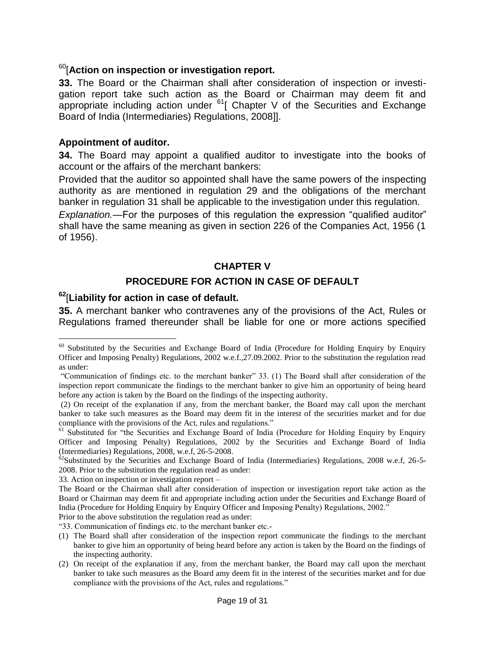## <sup>60</sup>[**Action on inspection or investigation report.**

**33.** The Board or the Chairman shall after consideration of inspection or investigation report take such action as the Board or Chairman may deem fit and appropriate including action under  $61$ [ Chapter V of the Securities and Exchange Board of India (Intermediaries) Regulations, 2008]].

#### **Appointment of auditor.**

 $\overline{a}$ 

**34.** The Board may appoint a qualified auditor to investigate into the books of account or the affairs of the merchant bankers:

Provided that the auditor so appointed shall have the same powers of the inspecting authority as are mentioned in regulation 29 and the obligations of the merchant banker in regulation 31 shall be applicable to the investigation under this regulation.

*Explanation.*—For the purposes of this regulation the expression "qualified auditor" shall have the same meaning as given in section 226 of the Companies Act, 1956 (1 of 1956).

### **CHAPTER V**

### **PROCEDURE FOR ACTION IN CASE OF DEFAULT**

# **<sup>62</sup>**[**Liability for action in case of default.**

**35.** A merchant banker who contravenes any of the provisions of the Act, Rules or Regulations framed thereunder shall be liable for one or more actions specified

33. Action on inspection or investigation report –

Prior to the above substitution the regulation read as under:

―33. Communication of findings etc. to the merchant banker etc.-

<sup>&</sup>lt;sup>60</sup> Substituted by the Securities and Exchange Board of India (Procedure for Holding Enquiry by Enquiry Officer and Imposing Penalty) Regulations, 2002 w.e.f.,27.09.2002. Prior to the substitution the regulation read as under:

<sup>―</sup>Communication of findings etc. to the merchant banker‖ 33. (1) The Board shall after consideration of the inspection report communicate the findings to the merchant banker to give him an opportunity of being heard before any action is taken by the Board on the findings of the inspecting authority.

<sup>(2)</sup> On receipt of the explanation if any, from the merchant banker, the Board may call upon the merchant banker to take such measures as the Board may deem fit in the interest of the securities market and for due compliance with the provisions of the Act, rules and regulations."

<sup>&</sup>lt;sup>61</sup> Substituted for "the Securities and Exchange Board of India (Procedure for Holding Enquiry by Enquiry Officer and Imposing Penalty) Regulations, 2002 by the Securities and Exchange Board of India (Intermediaries) Regulations, 2008, w.e.f, 26-5-2008.

 $62$ Substituted by the Securities and Exchange Board of India (Intermediaries) Regulations, 2008 w.e.f, 26-5-2008. Prior to the substitution the regulation read as under:

The Board or the Chairman shall after consideration of inspection or investigation report take action as the Board or Chairman may deem fit and appropriate including action under the Securities and Exchange Board of India (Procedure for Holding Enquiry by Enquiry Officer and Imposing Penalty) Regulations, 2002.<sup>7</sup>

<sup>(1)</sup> The Board shall after consideration of the inspection report communicate the findings to the merchant banker to give him an opportunity of being heard before any action is taken by the Board on the findings of the inspecting authority.

<sup>(2)</sup> On receipt of the explanation if any, from the merchant banker, the Board may call upon the merchant banker to take such measures as the Board amy deem fit in the interest of the securities market and for due compliance with the provisions of the Act, rules and regulations."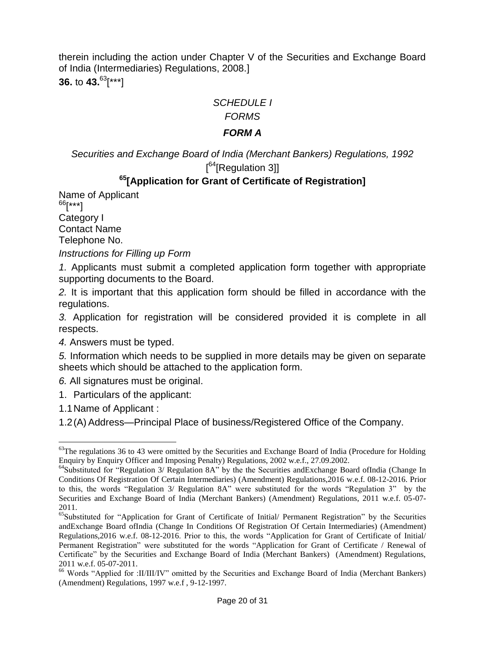therein including the action under Chapter V of the Securities and Exchange Board of India (Intermediaries) Regulations, 2008.] **36.** to **43.**<sup>63</sup>[\*\*\*]

*SCHEDULE I*

*FORMS*

## *FORM A*

*Securities and Exchange Board of India (Merchant Bankers) Regulations, 1992* [<sup>64</sup>[Regulation 3]]

## **<sup>65</sup>[Application for Grant of Certificate of Registration]**

Name of Applicant  $^{66}$ [\*\*\*] Category I Contact Name

Telephone No.

*Instructions for Filling up Form*

*1.* Applicants must submit a completed application form together with appropriate supporting documents to the Board.

*2.* It is important that this application form should be filled in accordance with the regulations.

*3.* Application for registration will be considered provided it is complete in all respects.

*4.* Answers must be typed.

*5.* Information which needs to be supplied in more details may be given on separate sheets which should be attached to the application form.

*6.* All signatures must be original.

1. Particulars of the applicant:

1.1Name of Applicant :

1.2(A) Address—Principal Place of business/Registered Office of the Company.

 $\overline{a}$  $63$ The regulations 36 to 43 were omitted by the Securities and Exchange Board of India (Procedure for Holding Enquiry by Enquiry Officer and Imposing Penalty) Regulations, 2002 w.e.f., 27.09.2002.

 $^{64}$ Substituted for "Regulation 3/ Regulation 8A" by the the Securities andExchange Board ofIndia (Change In Conditions Of Registration Of Certain Intermediaries) (Amendment) Regulations,2016 w.e.f. 08-12-2016. Prior to this, the words "Regulation 3/ Regulation 8A" were substituted for the words "Regulation 3" by the Securities and Exchange Board of India (Merchant Bankers) (Amendment) Regulations, 2011 w.e.f. 05-07- 2011.

<sup>&</sup>lt;sup>65</sup>Substituted for "Application for Grant of Certificate of Initial/ Permanent Registration" by the Securities andExchange Board ofIndia (Change In Conditions Of Registration Of Certain Intermediaries) (Amendment) Regulations, 2016 w.e.f. 08-12-2016. Prior to this, the words "Application for Grant of Certificate of Initial/ Permanent Registration" were substituted for the words "Application for Grant of Certificate / Renewal of Certificate" by the Securities and Exchange Board of India (Merchant Bankers) (Amendment) Regulations, 2011 w.e.f. 05-07-2011.

<sup>&</sup>lt;sup>66</sup> Words "Applied for :II/III/IV" omitted by the Securities and Exchange Board of India (Merchant Bankers) (Amendment) Regulations, 1997 w.e.f , 9-12-1997.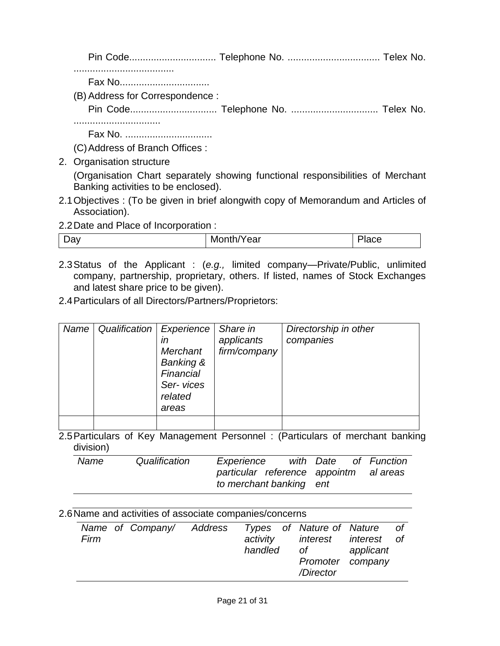Pin Code................................ Telephone No. .................................. Telex No.

.....................................

Fax No...................................

(B)Address for Correspondence :

Pin Code................................ Telephone No. ................................ Telex No.

................................

Fax No. ................................

(C)Address of Branch Offices :

2. Organisation structure

(Organisation Chart separately showing functional responsibilities of Merchant Banking activities to be enclosed).

- 2.1Objectives : (To be given in brief alongwith copy of Memorandum and Articles of Association).
- 2.2Date and Place of Incorporation :

| -<br>w<br>- IVE<br>ш<br>๛<br>◡ |
|--------------------------------|
|--------------------------------|

- 2.3Status of the Applicant : (*e.g.,* limited company—Private/Public, unlimited company, partnership, proprietary, others. If listed, names of Stock Exchanges and latest share price to be given).
- 2.4Particulars of all Directors/Partners/Proprietors:

| Name | Qualification | <b>Experience</b><br>ın<br>Merchant<br><b>Banking &amp;</b><br>Financial<br>Ser-vices<br>related<br>areas | Share in<br>applicants<br>firm/company | Directorship in other<br>companies |
|------|---------------|-----------------------------------------------------------------------------------------------------------|----------------------------------------|------------------------------------|
|      |               |                                                                                                           |                                        |                                    |

2.5Particulars of Key Management Personnel : (Particulars of merchant banking division)

| Name | Qualification | Experience                             |  | with Date of Function |
|------|---------------|----------------------------------------|--|-----------------------|
|      |               | particular reference appointm al areas |  |                       |
|      |               | to merchant banking ent                |  |                       |

|      |  | 2.6 Name and activities of associate companies/concerns |                        |                                                       |           |    |
|------|--|---------------------------------------------------------|------------------------|-------------------------------------------------------|-----------|----|
| Firm |  | Name of Company/ Address Types of Nature of Nature      | activity<br>handled of | interest interest of<br>Promoter company<br>/Director | applicant | of |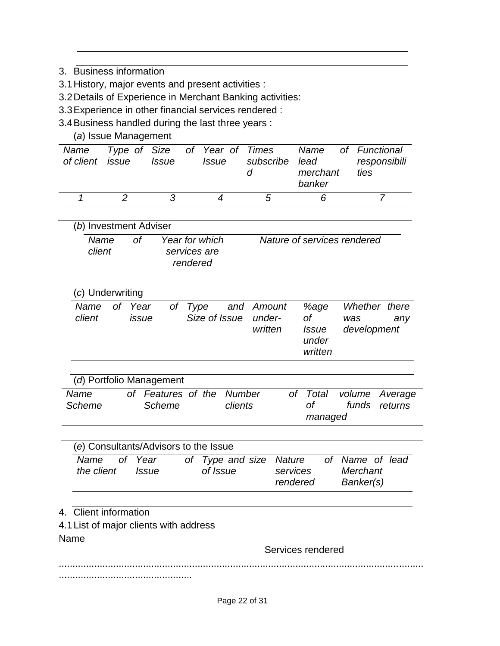- 3. Business information
- 3.1History, major events and present activities :
- 3.2Details of Experience in Merchant Banking activities:
- 3.3Experience in other financial services rendered :
- 3.4Business handled during the last three years :
	- (*a*) Issue Management

| Name<br>of client issue | Issue | <i>Issue</i> | subscribe | lead<br>merchant<br>banker | Type of Size of Year of Times Name of Functional<br>responsibili<br>ties |
|-------------------------|-------|--------------|-----------|----------------------------|--------------------------------------------------------------------------|
|                         |       |              | .h        |                            |                                                                          |

| (b) Investment Adviser |     |                                            |                             |  |  |  |  |  |  |
|------------------------|-----|--------------------------------------------|-----------------------------|--|--|--|--|--|--|
| Name<br>client         | nt. | Year for which<br>services are<br>rendered | Nature of services rendered |  |  |  |  |  |  |

| Whether there<br>%age<br>Name of Year<br>and Amount<br>of Type<br>0f<br>Size of Issue under-<br>client<br>issue<br>was<br>anv<br>development<br>written<br><i>Issue</i><br>under<br>written | (c) Underwriting |  |  |
|---------------------------------------------------------------------------------------------------------------------------------------------------------------------------------------------|------------------|--|--|
|                                                                                                                                                                                             |                  |  |  |

| (d) Portfolio Management |  |                                     |         |  |         |  |                                          |  |  |
|--------------------------|--|-------------------------------------|---------|--|---------|--|------------------------------------------|--|--|
| Name<br>Scheme           |  | of Features of the Number<br>Scheme | clients |  | ∩t      |  | of Total volume Average<br>funds returns |  |  |
|                          |  |                                     |         |  | managed |  |                                          |  |  |

| (e) Consultants/Advisors to the Issue |              |                                     |                      |                                          |
|---------------------------------------|--------------|-------------------------------------|----------------------|------------------------------------------|
| Name of Year<br>the client            | <i>Issue</i> | of Type and size Nature<br>of Issue | services<br>rendered | of Name of lead<br>Merchant<br>Banker(s) |

- 4. Client information
- 4.1List of major clients with address
- Name

Services rendered

...................................................................................................................................... .................................................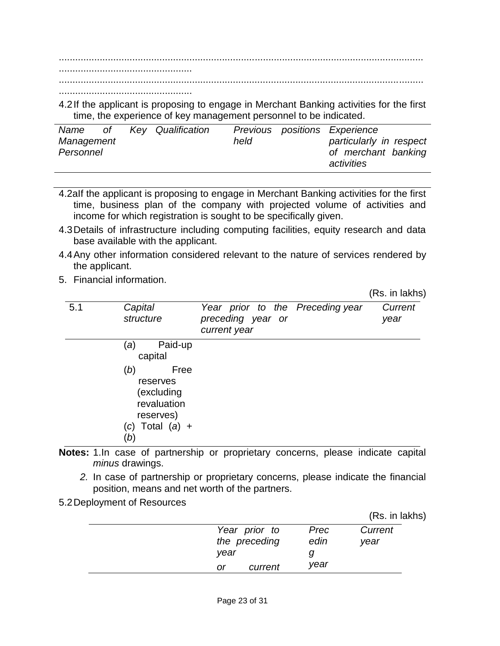...................................................................................................................................... .................................................

......................................................................................................................................

4.2If the applicant is proposing to engage in Merchant Banking activities for the first time, the experience of key management personnel to be indicated.

| Name<br>Management<br>Personnel | $\circ$ of | Key Qualification | held | Previous positions Experience<br>particularly in respect<br>of merchant banking |
|---------------------------------|------------|-------------------|------|---------------------------------------------------------------------------------|
|                                 |            |                   |      | activities                                                                      |

- 4.2aIf the applicant is proposing to engage in Merchant Banking activities for the first time, business plan of the company with projected volume of activities and income for which registration is sought to be specifically given.
- 4.3Details of infrastructure including computing facilities, equity research and data base available with the applicant.
- 4.4Any other information considered relevant to the nature of services rendered by the applicant.
- 5. Financial information.

.................................................

(Rs. in lakhs)

|     |                                                                     |                                                                       | , <del>.</del> 1 |
|-----|---------------------------------------------------------------------|-----------------------------------------------------------------------|------------------|
| 5.1 | Capital<br>structure                                                | Year prior to the Preceding year<br>preceding year or<br>current year | Current<br>year  |
|     | Paid-up<br>(a)<br>capital<br>(b)<br>Free<br>reserves                |                                                                       |                  |
|     | (excluding<br>revaluation<br>reserves)<br>$(c)$ Total $(a)$ +<br>(b |                                                                       |                  |

- **Notes:** 1.In case of partnership or proprietary concerns, please indicate capital *minus* drawings.
	- *2.* In case of partnership or proprietary concerns, please indicate the financial position, means and net worth of the partners.
- 5.2Deployment of Resources

|      |               |      | (Rs. in lakhs) |
|------|---------------|------|----------------|
|      | Year prior to | Prec | Current        |
|      | the preceding | edin | year           |
| vear |               |      |                |
| or   | current       | vear |                |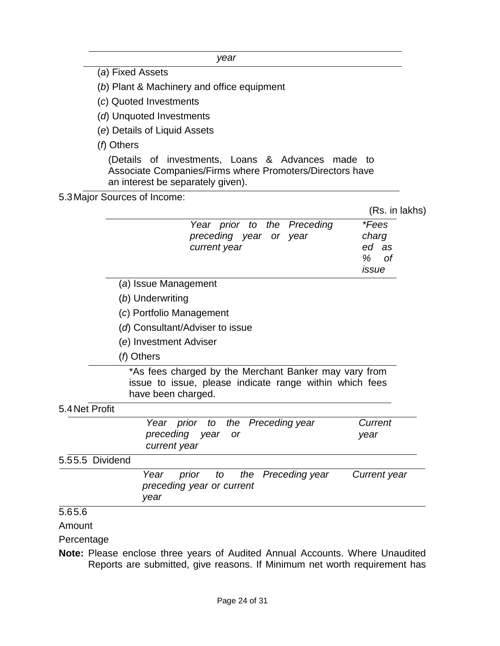*year*

(*a*) Fixed Assets

(*b*) Plant & Machinery and office equipment

- (*c*) Quoted Investments
- (*d*) Unquoted Investments
- (*e*) Details of Liquid Assets
- (*f*) Others

(Details of investments, Loans & Advances made to Associate Companies/Firms where Promoters/Directors have an interest be separately given).

### 5.3Major Sources of Income:

|  | (Rs. in lakhs) |
|--|----------------|
|  |                |

|                 |                                 | Year prior to the Preceding<br>preceding year or year<br>current year                                            |                    | <i>*Fees</i><br>charg<br>ed as<br>$\%$<br>Ωf |
|-----------------|---------------------------------|------------------------------------------------------------------------------------------------------------------|--------------------|----------------------------------------------|
|                 | (a) Issue Management            |                                                                                                                  |                    | issue                                        |
|                 | (b) Underwriting                |                                                                                                                  |                    |                                              |
|                 | (c) Portfolio Management        |                                                                                                                  |                    |                                              |
|                 | (d) Consultant/Adviser to issue |                                                                                                                  |                    |                                              |
|                 | (e) Investment Adviser          |                                                                                                                  |                    |                                              |
|                 | (f) Others                      |                                                                                                                  |                    |                                              |
|                 | have been charged.              | *As fees charged by the Merchant Banker may vary from<br>issue to issue, please indicate range within which fees |                    |                                              |
| 5.4 Net Profit  |                                 |                                                                                                                  |                    |                                              |
|                 |                                 | Year prior to the Preceding year                                                                                 |                    | Current                                      |
|                 | preceding year<br>current year  | <b>or</b>                                                                                                        |                    | year                                         |
| 5.55.5 Dividend |                                 |                                                                                                                  |                    |                                              |
|                 | Year<br>prior<br>year           | to<br>preceding year or current                                                                                  | the Preceding year | Current year                                 |
| 5.65.6          |                                 |                                                                                                                  |                    |                                              |

#### Amount

Percentage

**Note:** Please enclose three years of Audited Annual Accounts. Where Unaudited Reports are submitted, give reasons. If Minimum net worth requirement has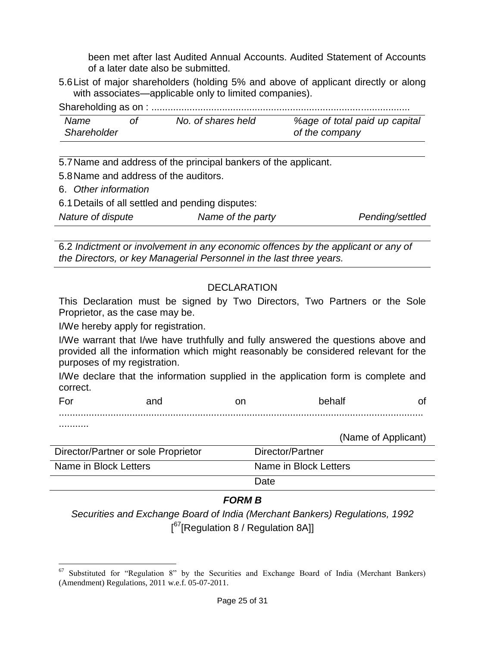been met after last Audited Annual Accounts. Audited Statement of Accounts of a later date also be submitted.

5.6List of major shareholders (holding 5% and above of applicant directly or along with associates—applicable only to limited companies).

Shareholding as on : ...............................................................................................

| Name               | No. of shares held | %age of total paid up capital |
|--------------------|--------------------|-------------------------------|
| <b>Shareholder</b> |                    | of the company                |

5.7Name and address of the principal bankers of the applicant.

5.8Name and address of the auditors.

6. *Other information*

6.1Details of all settled and pending disputes:

*Nature of dispute Name of the party Pending/settled*

6.2 *Indictment or involvement in any economic offences by the applicant or any of the Directors, or key Managerial Personnel in the last three years.*

## DECLARATION

This Declaration must be signed by Two Directors, Two Partners or the Sole Proprietor, as the case may be.

I/We hereby apply for registration.

I/We warrant that I/we have truthfully and fully answered the questions above and provided all the information which might reasonably be considered relevant for the purposes of my registration.

I/We declare that the information supplied in the application form is complete and correct.

For and on behalf of

......................................................................................................................................

...........

(Name of Applicant)

| Director/Partner or sole Proprietor | Director/Partner      |
|-------------------------------------|-----------------------|
| Name in Block Letters               | Name in Block Letters |
|                                     | Date                  |

## *FORM B*

*Securities and Exchange Board of India (Merchant Bankers) Regulations, 1992* [<sup>67</sup>[Regulation 8 / Regulation 8A]]

 $\overline{a}$  $67$  Substituted for "Regulation 8" by the Securities and Exchange Board of India (Merchant Bankers) (Amendment) Regulations, 2011 w.e.f. 05-07-2011.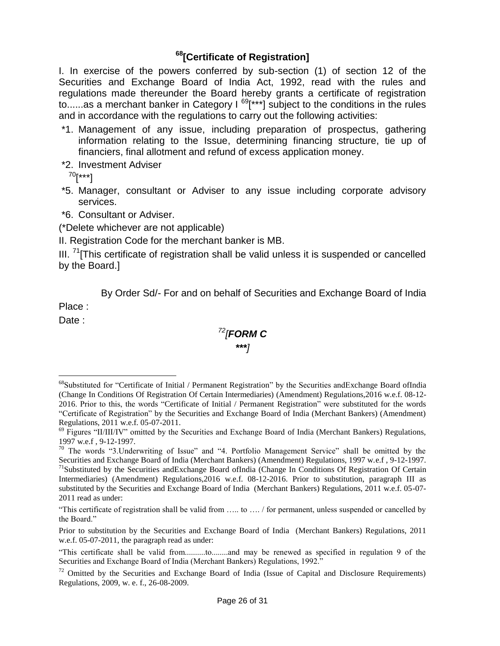# **<sup>68</sup>[Certificate of Registration]**

I. In exercise of the powers conferred by sub-section (1) of section 12 of the Securities and Exchange Board of India Act, 1992, read with the rules and regulations made thereunder the Board hereby grants a certificate of registration to......as a merchant banker in Category  $I^{69}$ [\*\*\*] subject to the conditions in the rules and in accordance with the regulations to carry out the following activities:

- \*1. Management of any issue, including preparation of prospectus, gathering information relating to the Issue, determining financing structure, tie up of financiers, final allotment and refund of excess application money.
- \*2. Investment Adviser

 $^{70}$ [\*\*\*]

- \*5. Manager, consultant or Adviser to any issue including corporate advisory services.
- \*6. Consultant or Adviser.

(\*Delete whichever are not applicable)

II. Registration Code for the merchant banker is MB.

III.  $71$ [This certificate of registration shall be valid unless it is suspended or cancelled by the Board.]

By Order Sd/- For and on behalf of Securities and Exchange Board of India

Place :

Date :

 $\overline{a}$ 

*<sup>72</sup>[FORM C \*\*\*]*

<sup>&</sup>lt;sup>68</sup>Substituted for "Certificate of Initial / Permanent Registration" by the Securities andExchange Board ofIndia (Change In Conditions Of Registration Of Certain Intermediaries) (Amendment) Regulations,2016 w.e.f. 08-12- 2016. Prior to this, the words "Certificate of Initial / Permanent Registration" were substituted for the words ―Certificate of Registration‖ by the Securities and Exchange Board of India (Merchant Bankers) (Amendment) Regulations, 2011 w.e.f. 05-07-2011.

 $^{69}$  Figures "II/III/IV" omitted by the Securities and Exchange Board of India (Merchant Bankers) Regulations, 1997 w.e.f , 9-12-1997.

<sup>&</sup>lt;sup>70</sup> The words "3.Underwriting of Issue" and "4. Portfolio Management Service" shall be omitted by the Securities and Exchange Board of India (Merchant Bankers) (Amendment) Regulations, 1997 w.e.f , 9-12-1997. <sup>71</sup>Substituted by the Securities andExchange Board ofIndia (Change In Conditions Of Registration Of Certain Intermediaries) (Amendment) Regulations,2016 w.e.f. 08-12-2016. Prior to substitution, paragraph III as substituted by the Securities and Exchange Board of India (Merchant Bankers) Regulations, 2011 w.e.f. 05-07- 2011 read as under:

<sup>―</sup>This certificate of registration shall be valid from ….. to …. / for permanent, unless suspended or cancelled by the Board."

Prior to substitution by the Securities and Exchange Board of India (Merchant Bankers) Regulations, 2011 w.e.f. 05-07-2011, the paragraph read as under:

<sup>―</sup>This certificate shall be valid from..........to........and may be renewed as specified in regulation 9 of the Securities and Exchange Board of India (Merchant Bankers) Regulations, 1992."

 $72$  Omitted by the Securities and Exchange Board of India (Issue of Capital and Disclosure Requirements) Regulations, 2009, w. e. f., 26-08-2009.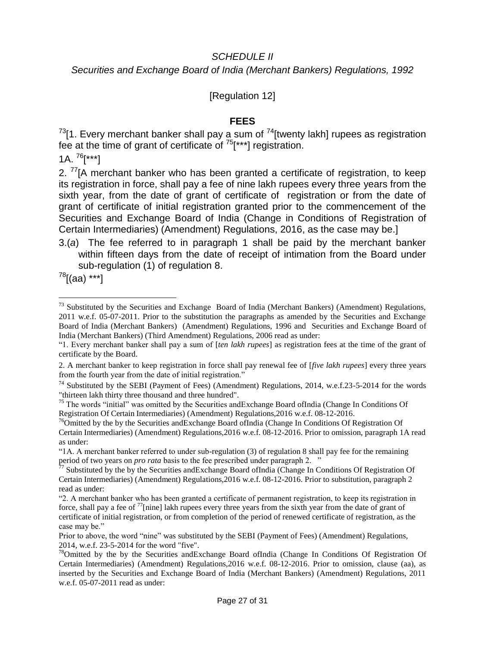### *SCHEDULE II*

*Securities and Exchange Board of India (Merchant Bankers) Regulations, 1992*

## [Regulation 12]

### **FEES**

 $^{73}$ [1. Every merchant banker shall pay a sum of  $^{74}$ [twenty lakh] rupees as registration fee at the time of grant of certificate of  $75$ [\*\*\*] registration.

1A.  $^{76}$ [\*\*\*]

2.  $^{77}$ [A merchant banker who has been granted a certificate of registration, to keep its registration in force, shall pay a fee of nine lakh rupees every three years from the sixth year, from the date of grant of certificate of registration or from the date of grant of certificate of initial registration granted prior to the commencement of the Securities and Exchange Board of India (Change in Conditions of Registration of Certain Intermediaries) (Amendment) Regulations, 2016, as the case may be.]

 $78$ [(aa) \*\*\*]

 $\overline{a}$ 

<sup>3.(</sup>*a*) The fee referred to in paragraph 1 shall be paid by the merchant banker within fifteen days from the date of receipt of intimation from the Board under sub-regulation (1) of regulation 8.

 $^{73}$  Substituted by the Securities and Exchange Board of India (Merchant Bankers) (Amendment) Regulations, 2011 w.e.f. 05-07-2011. Prior to the substitution the paragraphs as amended by the Securities and Exchange Board of India (Merchant Bankers) (Amendment) Regulations, 1996 and Securities and Exchange Board of India (Merchant Bankers) (Third Amendment) Regulations, 2006 read as under:

<sup>―1.</sup> Every merchant banker shall pay a sum of [*ten lakh rupees*] as registration fees at the time of the grant of certificate by the Board.

<sup>2.</sup> A merchant banker to keep registration in force shall pay renewal fee of [*five lakh rupees*] every three years from the fourth year from the date of initial registration."

<sup>&</sup>lt;sup>74</sup> Substituted by the SEBI (Payment of Fees) (Amendment) Regulations, 2014, w.e.f.23-5-2014 for the words "thirteen lakh thirty three thousand and three hundred".

 $75$  The words "initial" was omitted by the Securities and Exchange Board of India (Change In Conditions Of Registration Of Certain Intermediaries) (Amendment) Regulations,2016 w.e.f. 08-12-2016.

<sup>&</sup>lt;sup>76</sup>Omitted by the by the Securities andExchange Board ofIndia (Change In Conditions Of Registration Of Certain Intermediaries) (Amendment) Regulations,2016 w.e.f. 08-12-2016. Prior to omission, paragraph 1A read as under:

<sup>―1</sup>A. A merchant banker referred to under sub-regulation (3) of regulation 8 shall pay fee for the remaining period of two years on *pro rata* basis to the fee prescribed under paragraph 2. "

 $77$  Substituted by the by the Securities and Exchange Board of India (Change In Conditions Of Registration Of Certain Intermediaries) (Amendment) Regulations,2016 w.e.f. 08-12-2016. Prior to substitution, paragraph 2 read as under:

<sup>―2.</sup> A merchant banker who has been granted a certificate of permanent registration, to keep its registration in force, shall pay a fee of <sup>77</sup>[nine] lakh rupees every three years from the sixth year from the date of grant of certificate of initial registration, or from completion of the period of renewed certificate of registration, as the case may be."

Prior to above, the word "nine" was substituted by the SEBI (Payment of Fees) (Amendment) Regulations, 2014, w.e.f. 23-5-2014 for the word "five".

<sup>&</sup>lt;sup>78</sup>Omitted by the by the Securities andExchange Board ofIndia (Change In Conditions Of Registration Of Certain Intermediaries) (Amendment) Regulations,2016 w.e.f. 08-12-2016. Prior to omission, clause (aa), as inserted by the Securities and Exchange Board of India (Merchant Bankers) (Amendment) Regulations, 2011 w.e.f. 05-07-2011 read as under: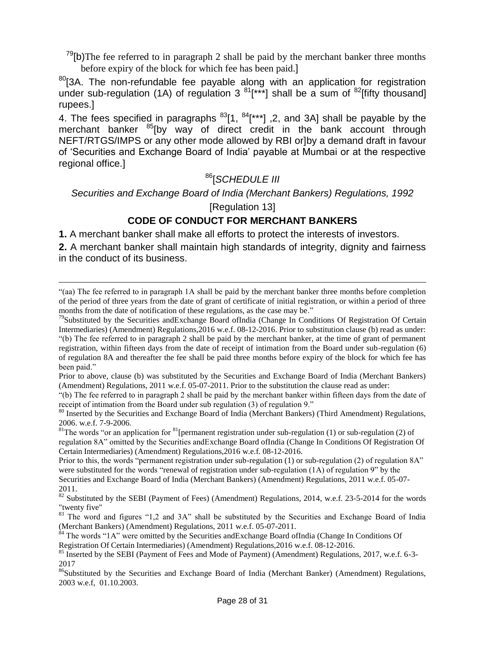$79$ [b)The fee referred to in paragraph 2 shall be paid by the merchant banker three months before expiry of the block for which fee has been paid.]

 $80$ [3A. The non-refundable fee payable along with an application for registration under sub-regulation (1A) of regulation 3<sup>81</sup>[\*\*\*] shall be a sum of <sup>82</sup>[fifty thousand] rupees.]

4. The fees specified in paragraphs  $83$ [1,  $84$ [\*\*\*], 2, and 3A] shall be payable by the merchant banker <sup>85</sup>[by way of direct credit in the bank account through NEFT/RTGS/IMPS or any other mode allowed by RBI or]by a demand draft in favour of ‗Securities and Exchange Board of India' payable at Mumbai or at the respective regional office.]

# <sup>86</sup>[*SCHEDULE III*

*Securities and Exchange Board of India (Merchant Bankers) Regulations, 1992*

## [Regulation 13]

## **CODE OF CONDUCT FOR MERCHANT BANKERS**

**1.** A merchant banker shall make all efforts to protect the interests of investors.

 $\overline{a}$ 

**2.** A merchant banker shall maintain high standards of integrity, dignity and fairness in the conduct of its business.

Prior to this, the words "permanent registration under sub-regulation  $(1)$  or sub-regulation  $(2)$  of regulation  $8A$ " were substituted for the words "renewal of registration under sub-regulation  $(1A)$  of regulation 9" by the Securities and Exchange Board of India (Merchant Bankers) (Amendment) Regulations, 2011 w.e.f. 05-07- 2011.

 $84$  The words "1A" were omitted by the Securities andExchange Board ofIndia (Change In Conditions Of Registration Of Certain Intermediaries) (Amendment) Regulations,2016 w.e.f. 08-12-2016.

<sup>―(</sup>aa) The fee referred to in paragraph 1A shall be paid by the merchant banker three months before completion of the period of three years from the date of grant of certificate of initial registration, or within a period of three months from the date of notification of these regulations, as the case may be."

<sup>&</sup>lt;sup>79</sup>Substituted by the Securities and Exchange Board of India (Change In Conditions Of Registration Of Certain Intermediaries) (Amendment) Regulations,2016 w.e.f. 08-12-2016. Prior to substitution clause (b) read as under: ―(b) The fee referred to in paragraph 2 shall be paid by the merchant banker, at the time of grant of permanent registration, within fifteen days from the date of receipt of intimation from the Board under sub-regulation (6) of regulation 8A and thereafter the fee shall be paid three months before expiry of the block for which fee has been paid."

Prior to above, clause (b) was substituted by the Securities and Exchange Board of India (Merchant Bankers) (Amendment) Regulations, 2011 w.e.f. 05-07-2011. Prior to the substitution the clause read as under:

<sup>―(</sup>b) The fee referred to in paragraph 2 shall be paid by the merchant banker within fifteen days from the date of receipt of intimation from the Board under sub regulation (3) of regulation 9."

<sup>&</sup>lt;sup>80</sup> Inserted by the Securities and Exchange Board of India (Merchant Bankers) (Third Amendment) Regulations, 2006. w.e.f. 7-9-2006.

<sup>&</sup>lt;sup>81</sup>The words "or an application for <sup>81</sup>[permanent registration under sub-regulation (1) or sub-regulation (2) of regulation 8A<sup>"</sup> omitted by the Securities and Exchange Board of India (Change In Conditions Of Registration Of Certain Intermediaries) (Amendment) Regulations,2016 w.e.f. 08-12-2016.

<sup>&</sup>lt;sup>82</sup> Substituted by the SEBI (Payment of Fees) (Amendment) Regulations, 2014, w.e.f. 23-5-2014 for the words "twenty five"

<sup>&</sup>lt;sup>83</sup> The word and figures "1,2 and 3A" shall be substituted by the Securities and Exchange Board of India (Merchant Bankers) (Amendment) Regulations, 2011 w.e.f. 05-07-2011.

<sup>&</sup>lt;sup>85</sup> Inserted by the SEBI (Payment of Fees and Mode of Payment) (Amendment) Regulations, 2017, w.e.f. 6-3-2017

<sup>&</sup>lt;sup>86</sup>Substituted by the Securities and Exchange Board of India (Merchant Banker) (Amendment) Regulations, 2003 w.e.f, 01.10.2003.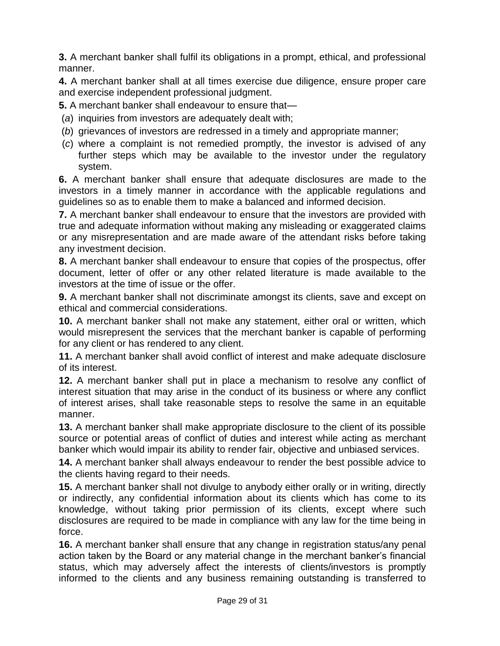**3.** A merchant banker shall fulfil its obligations in a prompt, ethical, and professional manner.

**4.** A merchant banker shall at all times exercise due diligence, ensure proper care and exercise independent professional judgment.

**5.** A merchant banker shall endeavour to ensure that—

- (*a*) inquiries from investors are adequately dealt with;
- (*b*) grievances of investors are redressed in a timely and appropriate manner;
- (*c*) where a complaint is not remedied promptly, the investor is advised of any further steps which may be available to the investor under the regulatory system.

**6.** A merchant banker shall ensure that adequate disclosures are made to the investors in a timely manner in accordance with the applicable regulations and guidelines so as to enable them to make a balanced and informed decision.

**7.** A merchant banker shall endeavour to ensure that the investors are provided with true and adequate information without making any misleading or exaggerated claims or any misrepresentation and are made aware of the attendant risks before taking any investment decision.

**8.** A merchant banker shall endeavour to ensure that copies of the prospectus, offer document, letter of offer or any other related literature is made available to the investors at the time of issue or the offer.

**9.** A merchant banker shall not discriminate amongst its clients, save and except on ethical and commercial considerations.

**10.** A merchant banker shall not make any statement, either oral or written, which would misrepresent the services that the merchant banker is capable of performing for any client or has rendered to any client.

**11.** A merchant banker shall avoid conflict of interest and make adequate disclosure of its interest.

**12.** A merchant banker shall put in place a mechanism to resolve any conflict of interest situation that may arise in the conduct of its business or where any conflict of interest arises, shall take reasonable steps to resolve the same in an equitable manner.

**13.** A merchant banker shall make appropriate disclosure to the client of its possible source or potential areas of conflict of duties and interest while acting as merchant banker which would impair its ability to render fair, objective and unbiased services.

**14.** A merchant banker shall always endeavour to render the best possible advice to the clients having regard to their needs.

**15.** A merchant banker shall not divulge to anybody either orally or in writing, directly or indirectly, any confidential information about its clients which has come to its knowledge, without taking prior permission of its clients, except where such disclosures are required to be made in compliance with any law for the time being in force.

**16.** A merchant banker shall ensure that any change in registration status/any penal action taken by the Board or any material change in the merchant banker's financial status, which may adversely affect the interests of clients/investors is promptly informed to the clients and any business remaining outstanding is transferred to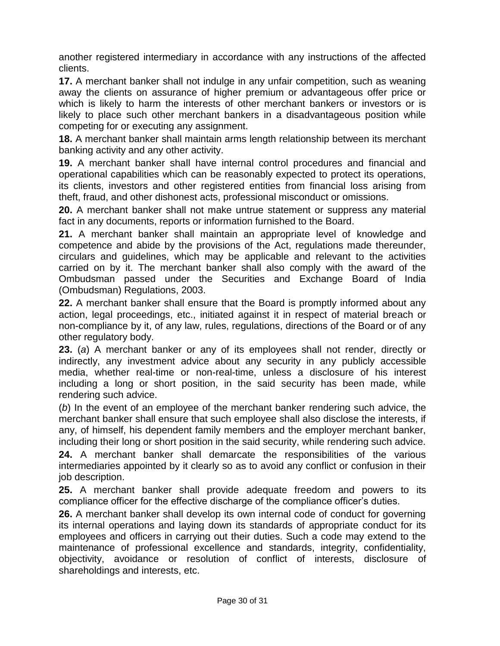another registered intermediary in accordance with any instructions of the affected clients.

**17.** A merchant banker shall not indulge in any unfair competition, such as weaning away the clients on assurance of higher premium or advantageous offer price or which is likely to harm the interests of other merchant bankers or investors or is likely to place such other merchant bankers in a disadvantageous position while competing for or executing any assignment.

**18.** A merchant banker shall maintain arms length relationship between its merchant banking activity and any other activity.

**19.** A merchant banker shall have internal control procedures and financial and operational capabilities which can be reasonably expected to protect its operations, its clients, investors and other registered entities from financial loss arising from theft, fraud, and other dishonest acts, professional misconduct or omissions.

**20.** A merchant banker shall not make untrue statement or suppress any material fact in any documents, reports or information furnished to the Board.

**21.** A merchant banker shall maintain an appropriate level of knowledge and competence and abide by the provisions of the Act, regulations made thereunder, circulars and guidelines, which may be applicable and relevant to the activities carried on by it. The merchant banker shall also comply with the award of the Ombudsman passed under the Securities and Exchange Board of India (Ombudsman) Regulations, 2003.

**22.** A merchant banker shall ensure that the Board is promptly informed about any action, legal proceedings, etc., initiated against it in respect of material breach or non-compliance by it, of any law, rules, regulations, directions of the Board or of any other regulatory body.

**23.** (*a*) A merchant banker or any of its employees shall not render, directly or indirectly, any investment advice about any security in any publicly accessible media, whether real-time or non-real-time, unless a disclosure of his interest including a long or short position, in the said security has been made, while rendering such advice.

(*b*) In the event of an employee of the merchant banker rendering such advice, the merchant banker shall ensure that such employee shall also disclose the interests, if any, of himself, his dependent family members and the employer merchant banker, including their long or short position in the said security, while rendering such advice.

**24.** A merchant banker shall demarcate the responsibilities of the various intermediaries appointed by it clearly so as to avoid any conflict or confusion in their job description.

**25.** A merchant banker shall provide adequate freedom and powers to its compliance officer for the effective discharge of the compliance officer's duties.

**26.** A merchant banker shall develop its own internal code of conduct for governing its internal operations and laying down its standards of appropriate conduct for its employees and officers in carrying out their duties. Such a code may extend to the maintenance of professional excellence and standards, integrity, confidentiality, objectivity, avoidance or resolution of conflict of interests, disclosure of shareholdings and interests, etc.